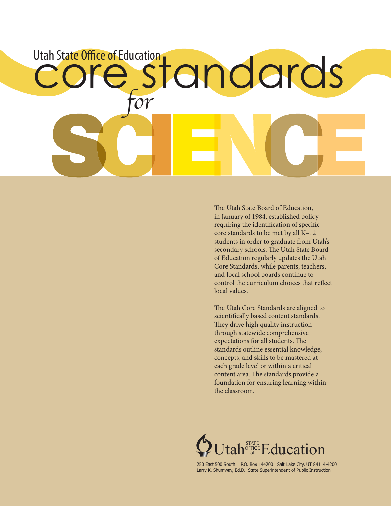# $\overline{\mathcal{O}}\mathcal{V}$ Utah State Office of Education<br>COLESTON COLOS

The Utah State Board of Education, in January of 1984, established policy requiring the identification of specific core standards to be met by all K–12 students in order to graduate from Utah's secondary schools. The Utah State Board of Education regularly updates the Utah Core Standards, while parents, teachers, and local school boards continue to control the curriculum choices that reflect local values.

The Utah Core Standards are aligned to scientifically based content standards. They drive high quality instruction through statewide comprehensive expectations for all students. The standards outline essential knowledge, concepts, and skills to be mastered at each grade level or within a critical content area. The standards provide a foundation for ensuring learning within the classroom.



250 East 500 South P.O. Box 144200 Salt Lake City, UT 84114-4200 Larry K. Shumway, Ed.D. State Superintendent of Public Instruction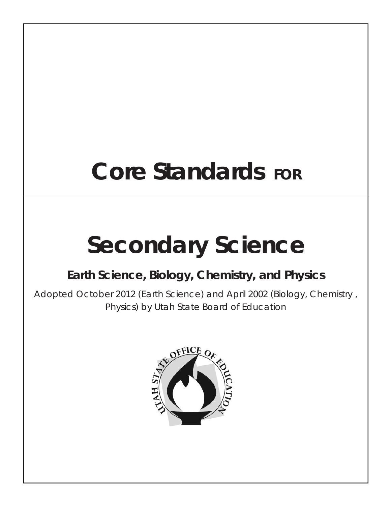## **Core Standards FOR**

# **Secondary Science**

### **Earth Science, Biology, Chemistry, and Physics**

Adopted October 2012 (Earth Science) and April 2002 (Biology, Chemistry , Physics) by Utah State Board of Education

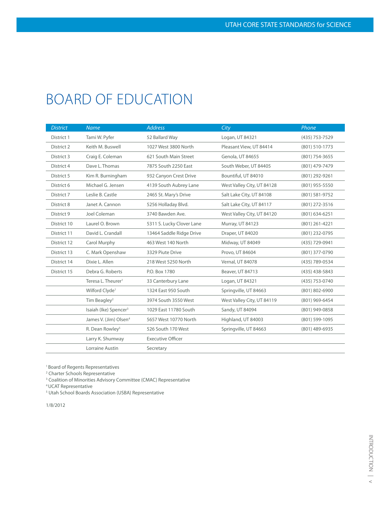## BOARD OF EDUCATION

| <b>District</b> | <b>Name</b>                       | <b>Address</b>            | City                       | Phone            |
|-----------------|-----------------------------------|---------------------------|----------------------------|------------------|
| District 1      | Tami W. Pyfer                     | 52 Ballard Way            | Logan, UT 84321            | (435) 753-7529   |
| District 2      | Keith M. Buswell                  | 1027 West 3800 North      | Pleasant View, UT 84414    | (801) 510-1773   |
| District 3      | Craig E. Coleman                  | 621 South Main Street     | Genola, UT 84655           | (801) 754-3655   |
| District 4      | Dave L. Thomas                    | 7875 South 2250 East      | South Weber, UT 84405      | (801) 479-7479   |
| District 5      | Kim R. Burningham                 | 932 Canyon Crest Drive    | Bountiful, UT 84010        | (801) 292-9261   |
| District 6      | Michael G. Jensen                 | 4139 South Aubrey Lane    | West Valley City, UT 84128 | (801) 955-5550   |
| District 7      | Leslie B. Castle                  | 2465 St. Mary's Drive     | Salt Lake City, UT 84108   | (801) 581-9752   |
| District 8      | Janet A. Cannon                   | 5256 Holladay Blvd.       | Salt Lake City, UT 84117   | (801) 272-3516   |
| District 9      | Joel Coleman                      | 3740 Bawden Ave.          | West Valley City, UT 84120 | $(801)$ 634-6251 |
| District 10     | Laurel O. Brown                   | 5311 S. Lucky Clover Lane | Murray, UT 84123           | $(801)$ 261-4221 |
| District 11     | David L. Crandall                 | 13464 Saddle Ridge Drive  | Draper, UT 84020           | (801) 232-0795   |
| District 12     | Carol Murphy                      | 463 West 140 North        | Midway, UT 84049           | (435) 729-0941   |
| District 13     | C. Mark Openshaw                  | 3329 Piute Drive          | Provo, UT 84604            | (801) 377-0790   |
| District 14     | Dixie L. Allen                    | 218 West 5250 North       | Vernal, UT 84078           | (435) 789-0534   |
| District 15     | Debra G. Roberts                  | P.O. Box 1780             | Beaver, UT 84713           | (435) 438-5843   |
|                 | Teresa L. Theurer <sup>1</sup>    | 33 Canterbury Lane        | Logan, UT 84321            | (435) 753-0740   |
|                 | Wilford Clyde <sup>1</sup>        | 1324 East 950 South       | Springville, UT 84663      | (801) 802-6900   |
|                 | Tim Beagley <sup>2</sup>          | 3974 South 3550 West      | West Valley City, UT 84119 | (801) 969-6454   |
|                 | Isaiah (Ike) Spencer <sup>3</sup> | 1029 East 11780 South     | Sandy, UT 84094            | (801) 949-0858   |
|                 | James V. (Jim) Olsen <sup>4</sup> | 5657 West 10770 North     | Highland, UT 84003         | (801) 599-1095   |
|                 | R. Dean Rowley <sup>5</sup>       | 526 South 170 West        | Springville, UT 84663      | (801) 489-6935   |
|                 | Larry K. Shumway                  | <b>Executive Officer</b>  |                            |                  |
|                 | Lorraine Austin                   | Secretary                 |                            |                  |

1 Board of Regents Representatives

2 Charter Schools Representative

<sup>3</sup> Coalition of Minorities Advisory Committee (CMAC) Representative

4 UCAT Representative

<sup>5</sup> Utah School Boards Association (USBA) Representative

1/8/2012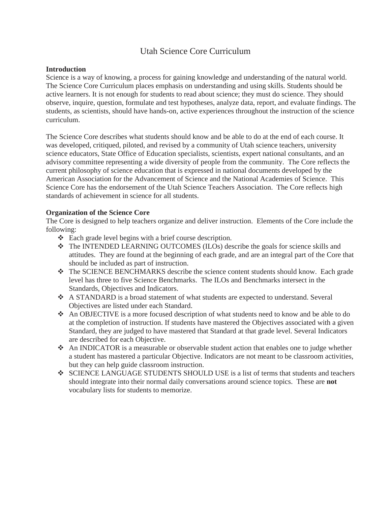#### Utah Science Core Curriculum

#### **Introduction**

Science is a way of knowing, a process for gaining knowledge and understanding of the natural world. The Science Core Curriculum places emphasis on understanding and using skills. Students should be active learners. It is not enough for students to read about science; they must do science. They should observe, inquire, question, formulate and test hypotheses, analyze data, report, and evaluate findings. The students, as scientists, should have hands-on, active experiences throughout the instruction of the science curriculum.

The Science Core describes what students should know and be able to do at the end of each course. It was developed, critiqued, piloted, and revised by a community of Utah science teachers, university science educators, State Office of Education specialists, scientists, expert national consultants, and an advisory committee representing a wide diversity of people from the community. The Core reflects the current philosophy of science education that is expressed in national documents developed by the American Association for the Advancement of Science and the National Academies of Science. This Science Core has the endorsement of the Utah Science Teachers Association. The Core reflects high standards of achievement in science for all students.

#### **Organization of the Science Core**

The Core is designed to help teachers organize and deliver instruction. Elements of the Core include the following:

- Each grade level begins with a brief course description.
- The INTENDED LEARNING OUTCOMES (ILOs) describe the goals for science skills and attitudes. They are found at the beginning of each grade, and are an integral part of the Core that should be included as part of instruction.
- The SCIENCE BENCHMARKS describe the science content students should know. Each grade level has three to five Science Benchmarks. The ILOs and Benchmarks intersect in the Standards, Objectives and Indicators.
- A STANDARD is a broad statement of what students are expected to understand. Several Objectives are listed under each Standard.
- An OBJECTIVE is a more focused description of what students need to know and be able to do at the completion of instruction. If students have mastered the Objectives associated with a given Standard, they are judged to have mastered that Standard at that grade level. Several Indicators are described for each Objective.
- An INDICATOR is a measurable or observable student action that enables one to judge whether a student has mastered a particular Objective. Indicators are not meant to be classroom activities, but they can help guide classroom instruction.
- SCIENCE LANGUAGE STUDENTS SHOULD USE is a list of terms that students and teachers should integrate into their normal daily conversations around science topics. These are **not**  vocabulary lists for students to memorize.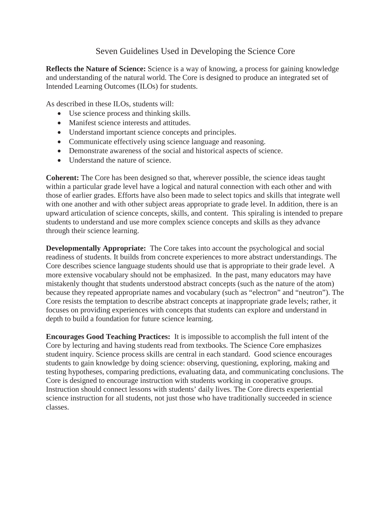#### Seven Guidelines Used in Developing the Science Core

**Reflects the Nature of Science:** Science is a way of knowing, a process for gaining knowledge and understanding of the natural world. The Core is designed to produce an integrated set of Intended Learning Outcomes (ILOs) for students.

As described in these ILOs, students will:

- Use science process and thinking skills.
- Manifest science interests and attitudes.
- Understand important science concepts and principles.
- Communicate effectively using science language and reasoning.
- Demonstrate awareness of the social and historical aspects of science.
- Understand the nature of science.

**Coherent:** The Core has been designed so that, wherever possible, the science ideas taught within a particular grade level have a logical and natural connection with each other and with those of earlier grades. Efforts have also been made to select topics and skills that integrate well with one another and with other subject areas appropriate to grade level. In addition, there is an upward articulation of science concepts, skills, and content. This spiraling is intended to prepare students to understand and use more complex science concepts and skills as they advance through their science learning.

**Developmentally Appropriate:** The Core takes into account the psychological and social readiness of students. It builds from concrete experiences to more abstract understandings. The Core describes science language students should use that is appropriate to their grade level. A more extensive vocabulary should not be emphasized. In the past, many educators may have mistakenly thought that students understood abstract concepts (such as the nature of the atom) because they repeated appropriate names and vocabulary (such as "electron" and "neutron"). The Core resists the temptation to describe abstract concepts at inappropriate grade levels; rather, it focuses on providing experiences with concepts that students can explore and understand in depth to build a foundation for future science learning.

**Encourages Good Teaching Practices:** It is impossible to accomplish the full intent of the Core by lecturing and having students read from textbooks. The Science Core emphasizes student inquiry. Science process skills are central in each standard. Good science encourages students to gain knowledge by doing science: observing, questioning, exploring, making and testing hypotheses, comparing predictions, evaluating data, and communicating conclusions. The Core is designed to encourage instruction with students working in cooperative groups. Instruction should connect lessons with students' daily lives. The Core directs experiential science instruction for all students, not just those who have traditionally succeeded in science classes.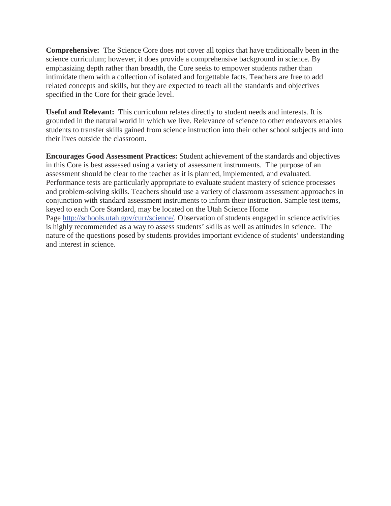**Comprehensive:** The Science Core does not cover all topics that have traditionally been in the science curriculum; however, it does provide a comprehensive background in science. By emphasizing depth rather than breadth, the Core seeks to empower students rather than intimidate them with a collection of isolated and forgettable facts. Teachers are free to add related concepts and skills, but they are expected to teach all the standards and objectives specified in the Core for their grade level.

**Useful and Relevant:** This curriculum relates directly to student needs and interests. It is grounded in the natural world in which we live. Relevance of science to other endeavors enables students to transfer skills gained from science instruction into their other school subjects and into their lives outside the classroom.

**Encourages Good Assessment Practices:** Student achievement of the standards and objectives in this Core is best assessed using a variety of assessment instruments. The purpose of an assessment should be clear to the teacher as it is planned, implemented, and evaluated. Performance tests are particularly appropriate to evaluate student mastery of science processes and problem-solving skills. Teachers should use a variety of classroom assessment approaches in conjunction with standard assessment instruments to inform their instruction. Sample test items, keyed to each Core Standard, may be located on the Utah Science Home Page http://schools.utah.gov/curr/science/. Observation of students engaged in science activities is highly recommended as a way to assess students' skills as well as attitudes in science. The nature of the questions posed by students provides important evidence of students' understanding and interest in science.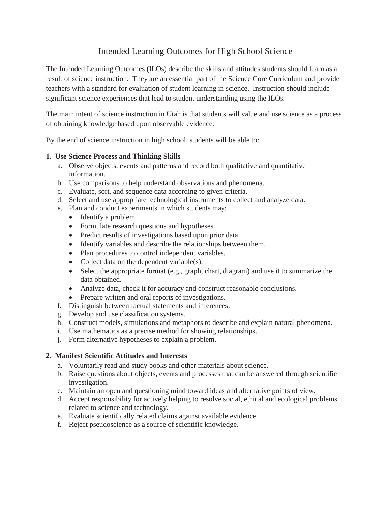#### Intended Learning Outcomes for High School Science

The Intended Learning Outcomes (ILOs) describe the skills and attitudes students should learn as a result of science instruction. They are an essential part of the Science Core Curriculum and provide teachers with a standard for evaluation of student learning in science. Instruction should include significant science experiences that lead to student understanding using the ILOs.

The main intent of science instruction in Utah is that students will value and use science as a process of obtaining knowledge based upon observable evidence.

By the end of science instruction in high school, students will be able to:

#### **1. Use Science Process and Thinking Skills**

- a. Observe objects, events and patterns and record both qualitative and quantitative information.
- b. Use comparisons to help understand observations and phenomena.
- c. Evaluate, sort, and sequence data according to given criteria.
- d. Select and use appropriate technological instruments to collect and analyze data.
- e. Plan and conduct experiments in which students may:
	- $\bullet$  Identify a problem.
	- Formulate research questions and hypotheses.
	- Predict results of investigations based upon prior data.
	- Identify variables and describe the relationships between them.
	- Plan procedures to control independent variables.
	- Collect data on the dependent variable $(s)$ .
	- $\bullet$  Select the appropriate format (e.g., graph, chart, diagram) and use it to summarize the data obtained.
	- Analyze data, check it for accuracy and construct reasonable conclusions.
	- Prepare written and oral reports of investigations.
- f. Distinguish between factual statements and inferences.
- g. Develop and use classification systems.
- h. Construct models, simulations and metaphors to describe and explain natural phenomena.
- i. Use mathematics as a precise method for showing relationships.
- j. Form alternative hypotheses to explain a problem.

#### **2. Manifest Scientific Attitudes and Interests**

- a. Voluntarily read and study books and other materials about science.
- b. Raise questions about objects, events and processes that can be answered through scientific investigation.
- c. Maintain an open and questioning mind toward ideas and alternative points of view.
- d. Accept responsibility for actively helping to resolve social, ethical and ecological problems related to science and technology.
- e. Evaluate scientifically related claims against available evidence.
- f. Reject pseudoscience as a source of scientific knowledge.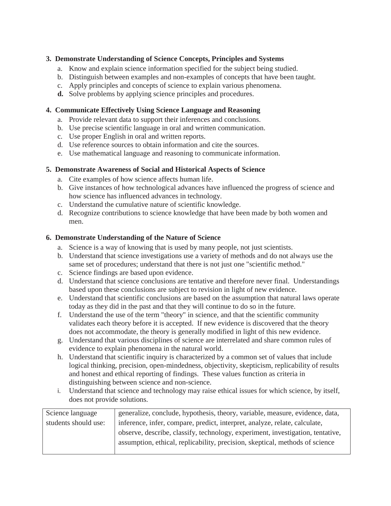#### **3. Demonstrate Understanding of Science Concepts, Principles and Systems**

- a. Know and explain science information specified for the subject being studied.
- b. Distinguish between examples and non-examples of concepts that have been taught.
- c. Apply principles and concepts of science to explain various phenomena.
- **d.** Solve problems by applying science principles and procedures.

#### **4. Communicate Effectively Using Science Language and Reasoning**

- a. Provide relevant data to support their inferences and conclusions.
- b. Use precise scientific language in oral and written communication.
- c. Use proper English in oral and written reports.
- d. Use reference sources to obtain information and cite the sources.
- e. Use mathematical language and reasoning to communicate information.

#### **5. Demonstrate Awareness of Social and Historical Aspects of Science**

- a. Cite examples of how science affects human life.
- b. Give instances of how technological advances have influenced the progress of science and how science has influenced advances in technology.
- c. Understand the cumulative nature of scientific knowledge.
- d. Recognize contributions to science knowledge that have been made by both women and men.

#### **6. Demonstrate Understanding of the Nature of Science**

- a. Science is a way of knowing that is used by many people, not just scientists.
- b. Understand that science investigations use a variety of methods and do not always use the same set of procedures; understand that there is not just one "scientific method."
- c. Science findings are based upon evidence.
- d. Understand that science conclusions are tentative and therefore never final. Understandings based upon these conclusions are subject to revision in light of new evidence.
- e. Understand that scientific conclusions are based on the assumption that natural laws operate today as they did in the past and that they will continue to do so in the future.
- f. Understand the use of the term "theory" in science, and that the scientific community validates each theory before it is accepted. If new evidence is discovered that the theory does not accommodate, the theory is generally modified in light of this new evidence.
- g. Understand that various disciplines of science are interrelated and share common rules of evidence to explain phenomena in the natural world.
- h. Understand that scientific inquiry is characterized by a common set of values that include logical thinking, precision, open-mindedness, objectivity, skepticism, replicability of results and honest and ethical reporting of findings. These values function as criteria in distinguishing between science and non-science.
- i. Understand that science and technology may raise ethical issues for which science, by itself, does not provide solutions.

| Science language     | generalize, conclude, hypothesis, theory, variable, measure, evidence, data,   |
|----------------------|--------------------------------------------------------------------------------|
| students should use: | inference, infer, compare, predict, interpret, analyze, relate, calculate,     |
|                      | observe, describe, classify, technology, experiment, investigation, tentative, |
|                      | assumption, ethical, replicability, precision, skeptical, methods of science   |
|                      |                                                                                |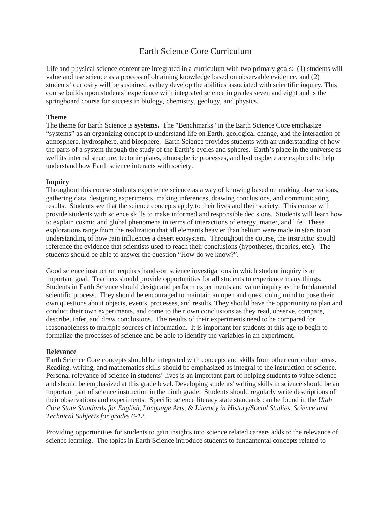#### Earth Science Core Curriculum

Life and physical science content are integrated in a curriculum with two primary goals: (1) students will value and use science as a process of obtaining knowledge based on observable evidence, and (2) students' curiosity will be sustained as they develop the abilities associated with scientific inquiry. This course builds upon students' experience with integrated science in grades seven and eight and is the springboard course for success in biology, chemistry, geology, and physics.

#### **Theme**

The theme for Earth Science is **systems.** The "Benchmarks" in the Earth Science Core emphasize "systems" as an organizing concept to understand life on Earth, geological change, and the interaction of atmosphere, hydrosphere, and biosphere. Earth Science provides students with an understanding of how the parts of a system through the study of the Earth's cycles and spheres. Earth's place in the universe as well its internal structure, tectonic plates, atmospheric processes, and hydrosphere are explored to help understand how Earth science interacts with society.

#### **Inquiry**

Throughout this course students experience science as a way of knowing based on making observations, gathering data, designing experiments, making inferences, drawing conclusions, and communicating results. Students see that the science concepts apply to their lives and their society. This course will provide students with science skills to make informed and responsible decisions. Students will learn how to explain cosmic and global phenomena in terms of interactions of energy, matter, and life. These explorations range from the realization that all elements heavier than helium were made in stars to an understanding of how rain influences a desert ecosystem. Throughout the course, the instructor should reference the evidence that scientists used to reach their conclusions (hypotheses, theories, etc.). The students should be able to answer the question "How do we know?".

Good science instruction requires hands-on science investigations in which student inquiry is an important goal. Teachers should provide opportunities for **all** students to experience many things. Students in Earth Science should design and perform experiments and value inquiry as the fundamental scientific process. They should be encouraged to maintain an open and questioning mind to pose their own questions about objects, events, processes, and results. They should have the opportunity to plan and conduct their own experiments, and come to their own conclusions as they read, observe, compare, describe, infer, and draw conclusions. The results of their experiments need to be compared for reasonableness to multiple sources of information. It is important for students at this age to begin to formalize the processes of science and be able to identify the variables in an experiment.

#### **Relevance**

Earth Science Core concepts should be integrated with concepts and skills from other curriculum areas. Reading, writing, and mathematics skills should be emphasized as integral to the instruction of science. Personal relevance of science in students' lives is an important part of helping students to value science and should be emphasized at this grade level. Developing students' writing skills in science should be an important part of science instruction in the ninth grade. Students should regularly write descriptions of their observations and experiments. Specific science literacy state standards can be found in the *Utah Core State Standards for English, Language Arts, & Literacy in History/Social Studies, Science and Technical Subjects for grades 6-12*.

Providing opportunities for students to gain insights into science related careers adds to the relevance of science learning. The topics in Earth Science introduce students to fundamental concepts related to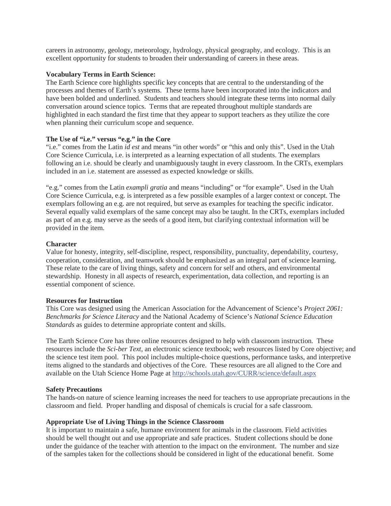careers in astronomy, geology, meteorology, hydrology, physical geography, and ecology. This is an excellent opportunity for students to broaden their understanding of careers in these areas.

#### **Vocabulary Terms in Earth Science:**

The Earth Science core highlights specific key concepts that are central to the understanding of the processes and themes of Earth's systems. These terms have been incorporated into the indicators and have been bolded and underlined. Students and teachers should integrate these terms into normal daily conversation around science topics. Terms that are repeated throughout multiple standards are highlighted in each standard the first time that they appear to support teachers as they utilize the core when planning their curriculum scope and sequence.

#### **The Use of "i.e." versus "e.g." in the Core**

"i.e." comes from the Latin *id est* and means "in other words" or "this and only this". Used in the Utah Core Science Curricula, i.e. is interpreted as a learning expectation of all students. The exemplars following an i.e. should be clearly and unambiguously taught in every classroom. In the CRTs, exemplars included in an i.e. statement are assessed as expected knowledge or skills.

"e.g." comes from the Latin *exampli gratia* and means "including" or "for example". Used in the Utah Core Science Curricula, e.g. is interpreted as a few possible examples of a larger context or concept. The exemplars following an e.g. are not required, but serve as examples for teaching the specific indicator. Several equally valid exemplars of the same concept may also be taught. In the CRTs, exemplars included as part of an e.g. may serve as the seeds of a good item, but clarifying contextual information will be provided in the item.

#### **Character**

Value for honesty, integrity, self-discipline, respect, responsibility, punctuality, dependability, courtesy, cooperation, consideration, and teamwork should be emphasized as an integral part of science learning. These relate to the care of living things, safety and concern for self and others, and environmental stewardship. Honesty in all aspects of research, experimentation, data collection, and reporting is an essential component of science.

#### **Resources for Instruction**

This Core was designed using the American Association for the Advancement of Science's *Project 2061: Benchmarks for Science Literacy* and the National Academy of Science's *National Science Education Standards* as guides to determine appropriate content and skills.

The Earth Science Core has three online resources designed to help with classroom instruction. These resources include the *Sci-ber Text,* an electronic science textbook; web resources listed by Core objective; and the science test item pool. This pool includes multiple-choice questions, performance tasks, and interpretive items aligned to the standards and objectives of the Core. These resources are all aligned to the Core and available on the Utah Science Home Page at http://schools.utah.gov/CURR/science/default.aspx

#### **Safety Precautions**

The hands-on nature of science learning increases the need for teachers to use appropriate precautions in the classroom and field. Proper handling and disposal of chemicals is crucial for a safe classroom.

#### **Appropriate Use of Living Things in the Science Classroom**

It is important to maintain a safe, humane environment for animals in the classroom. Field activities should be well thought out and use appropriate and safe practices. Student collections should be done under the guidance of the teacher with attention to the impact on the environment. The number and size of the samples taken for the collections should be considered in light of the educational benefit. Some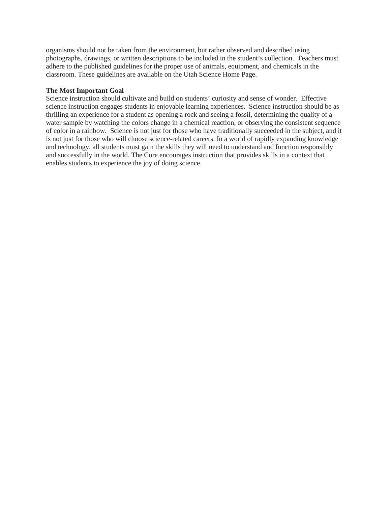organisms should not be taken from the environment, but rather observed and described using photographs, drawings, or written descriptions to be included in the student's collection. Teachers must adhere to the published guidelines for the proper use of animals, equipment, and chemicals in the classroom. These guidelines are available on the Utah Science Home Page.

#### **The Most Important Goal**

Science instruction should cultivate and build on students' curiosity and sense of wonder. Effective science instruction engages students in enjoyable learning experiences. Science instruction should be as thrilling an experience for a student as opening a rock and seeing a fossil, determining the quality of a water sample by watching the colors change in a chemical reaction, or observing the consistent sequence of color in a rainbow. Science is not just for those who have traditionally succeeded in the subject, and it is not just for those who will choose science-related careers. In a world of rapidly expanding knowledge and technology, all students must gain the skills they will need to understand and function responsibly and successfully in the world. The Core encourages instruction that provides skills in a context that enables students to experience the joy of doing science.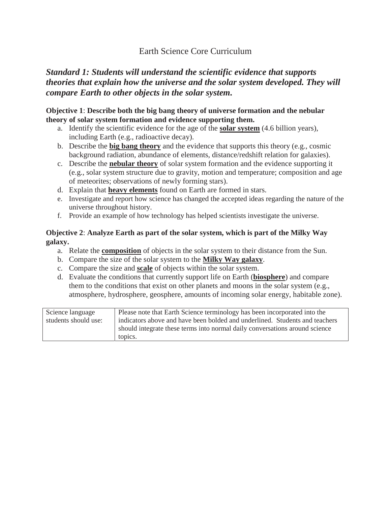#### Earth Science Core Curriculum

#### *Standard 1: Students will understand the scientific evidence that supports theories that explain how the universe and the solar system developed. They will compare Earth to other objects in the solar system.*

#### **Objective 1**: **Describe both the big bang theory of universe formation and the nebular theory of solar system formation and evidence supporting them.**

- a. Identify the scientific evidence for the age of the **solar system** (4.6 billion years), including Earth (e.g., radioactive decay).
- b. Describe the **big bang theory** and the evidence that supports this theory (e.g., cosmic background radiation, abundance of elements, distance/redshift relation for galaxies).
- c. Describe the **nebular theory** of solar system formation and the evidence supporting it (e.g., solar system structure due to gravity, motion and temperature; composition and age of meteorites; observations of newly forming stars).
- d. Explain that **heavy elements** found on Earth are formed in stars.
- e. Investigate and report how science has changed the accepted ideas regarding the nature of the universe throughout history.
- f. Provide an example of how technology has helped scientists investigate the universe.

#### **Objective 2**: **Analyze Earth as part of the solar system, which is part of the Milky Way galaxy.**

- a. Relate the **composition** of objects in the solar system to their distance from the Sun.
- b. Compare the size of the solar system to the **Milky Way galaxy**.
- c. Compare the size and **scale** of objects within the solar system.
- d. Evaluate the conditions that currently support life on Earth (**biosphere**) and compare them to the conditions that exist on other planets and moons in the solar system (e.g., atmosphere, hydrosphere, geosphere, amounts of incoming solar energy, habitable zone).

| Science language     | Please note that Earth Science terminology has been incorporated into the   |
|----------------------|-----------------------------------------------------------------------------|
| students should use: | indicators above and have been bolded and underlined. Students and teachers |
|                      | should integrate these terms into normal daily conversations around science |
|                      | topics.                                                                     |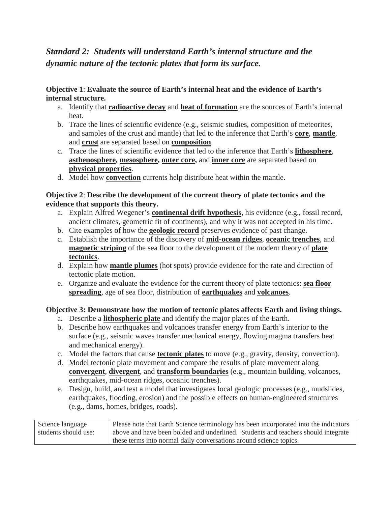#### *Standard 2: Students will understand Earth's internal structure and the dynamic nature of the tectonic plates that form its surface.*

#### **Objective 1**: **Evaluate the source of Earth's internal heat and the evidence of Earth's internal structure.**

- a. Identify that **radioactive decay** and **heat of formation** are the sources of Earth's internal heat.
- b. Trace the lines of scientific evidence (e.g., seismic studies, composition of meteorites, and samples of the crust and mantle) that led to the inference that Earth's **core**, **mantle**, and **crust** are separated based on **composition**.
- c. Trace the lines of scientific evidence that led to the inference that Earth's **lithosphere**, **asthenosphere, mesosphere, outer core,** and **inner core** are separated based on **physical properties**.
- d. Model how **convection** currents help distribute heat within the mantle.

#### **Objective 2**: **Describe the development of the current theory of plate tectonics and the evidence that supports this theory.**

- a. Explain Alfred Wegener's **continental drift hypothesis**, his evidence (e.g., fossil record, ancient climates, geometric fit of continents), and why it was not accepted in his time.
- b. Cite examples of how the **geologic record** preserves evidence of past change.
- c. Establish the importance of the discovery of **mid-ocean ridges**, **oceanic trenches**, and **magnetic striping** of the sea floor to the development of the modern theory of **plate tectonics**.
- d. Explain how **mantle plumes** (hot spots) provide evidence for the rate and direction of tectonic plate motion.
- e. Organize and evaluate the evidence for the current theory of plate tectonics: **sea floor spreading**, age of sea floor, distribution of **earthquakes** and **volcanoes**.

#### **Objective 3: Demonstrate how the motion of tectonic plates affects Earth and living things.**

- a. Describe a **lithospheric plate** and identify the major plates of the Earth.
- b. Describe how earthquakes and volcanoes transfer energy from Earth's interior to the surface (e.g., seismic waves transfer mechanical energy, flowing magma transfers heat and mechanical energy).
- c. Model the factors that cause **tectonic plates** to move (e.g., gravity, density, convection).
- d. Model tectonic plate movement and compare the results of plate movement along **convergent**, **divergent**, and **transform boundaries** (e.g., mountain building, volcanoes, earthquakes, mid-ocean ridges, oceanic trenches).
- e. Design, build, and test a model that investigates local geologic processes (e.g., mudslides, earthquakes, flooding, erosion) and the possible effects on human-engineered structures (e.g., dams, homes, bridges, roads).

| Science language     | Please note that Earth Science terminology has been incorporated into the indicators |
|----------------------|--------------------------------------------------------------------------------------|
| students should use: | above and have been bolded and underlined. Students and teachers should integrate    |
|                      | these terms into normal daily conversations around science topics.                   |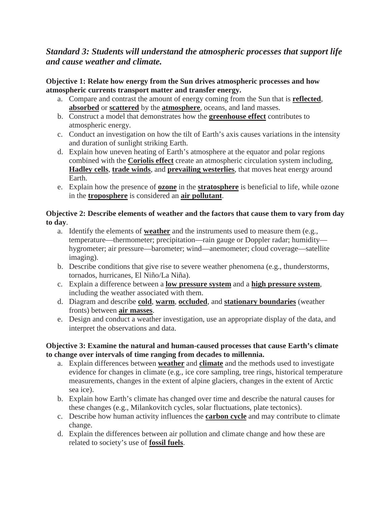#### *Standard 3: Students will understand the atmospheric processes that support life and cause weather and climate.*

#### **Objective 1: Relate how energy from the Sun drives atmospheric processes and how atmospheric currents transport matter and transfer energy.**

- a. Compare and contrast the amount of energy coming from the Sun that is **reflected**, **absorbed** or **scattered** by the **atmosphere**, oceans, and land masses.
- b. Construct a model that demonstrates how the **greenhouse effect** contributes to atmospheric energy.
- c. Conduct an investigation on how the tilt of Earth's axis causes variations in the intensity and duration of sunlight striking Earth.
- d. Explain how uneven heating of Earth's atmosphere at the equator and polar regions combined with the **Coriolis effect** create an atmospheric circulation system including, **Hadley cells**, **trade winds**, and **prevailing westerlies**, that moves heat energy around Earth.
- e. Explain how the presence of **ozone** in the **stratosphere** is beneficial to life, while ozone in the **troposphere** is considered an **air pollutant**.

#### **Objective 2: Describe elements of weather and the factors that cause them to vary from day to day**.

- a. Identify the elements of **weather** and the instruments used to measure them (e.g., temperature—thermometer; precipitation—rain gauge or Doppler radar; humidity hygrometer; air pressure—barometer; wind—anemometer; cloud coverage—satellite imaging).
- b. Describe conditions that give rise to severe weather phenomena (e.g., thunderstorms, tornados, hurricanes, El Niño/La Niña).
- c. Explain a difference between a **low pressure system** and a **high pressure system**, including the weather associated with them.
- d. Diagram and describe **cold**, **warm**, **occluded**, and **stationary boundaries** (weather fronts) between **air masses**.
- e. Design and conduct a weather investigation, use an appropriate display of the data, and interpret the observations and data.

#### **Objective 3: Examine the natural and human-caused processes that cause Earth's climate to change over intervals of time ranging from decades to millennia.**

- a. Explain differences between **weather** and **climate** and the methods used to investigate evidence for changes in climate (e.g., ice core sampling, tree rings, historical temperature measurements, changes in the extent of alpine glaciers, changes in the extent of Arctic sea ice).
- b. Explain how Earth's climate has changed over time and describe the natural causes for these changes (e.g., Milankovitch cycles, solar fluctuations, plate tectonics).
- c. Describe how human activity influences the **carbon cycle** and may contribute to climate change.
- d. Explain the differences between air pollution and climate change and how these are related to society's use of **fossil fuels**.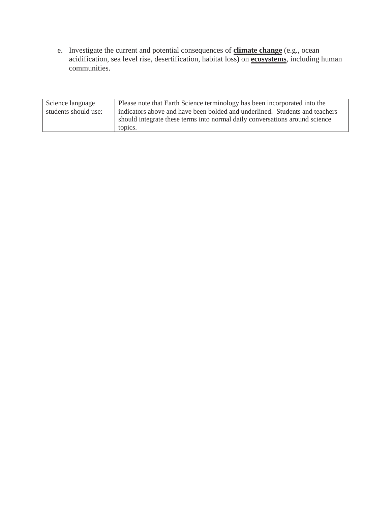e. Investigate the current and potential consequences of **climate change** (e.g., ocean acidification, sea level rise, desertification, habitat loss) on **ecosystems**, including human communities.

| Science language     | Please note that Earth Science terminology has been incorporated into the   |
|----------------------|-----------------------------------------------------------------------------|
| students should use: | indicators above and have been bolded and underlined. Students and teachers |
|                      | should integrate these terms into normal daily conversations around science |
|                      | topics.                                                                     |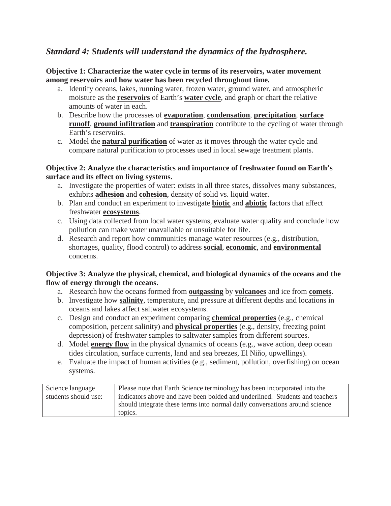#### *Standard 4: Students will understand the dynamics of the hydrosphere.*

**Objective 1: Characterize the water cycle in terms of its reservoirs, water movement among reservoirs and how water has been recycled throughout time.**

- a. Identify oceans, lakes, running water, frozen water, ground water, and atmospheric moisture as the **reservoirs** of Earth's **water cycle**, and graph or chart the relative amounts of water in each.
- b. Describe how the processes of **evaporation**, **condensation**, **precipitation**, **surface runoff**, **ground infiltration** and **transpiration** contribute to the cycling of water through Earth's reservoirs.
- c. Model the **natural purification** of water as it moves through the water cycle and compare natural purification to processes used in local sewage treatment plants.

#### **Objective 2: Analyze the characteristics and importance of freshwater found on Earth's surface and its effect on living systems.**

- a. Investigate the properties of water: exists in all three states, dissolves many substances, exhibits **adhesion** and **cohesion**, density of solid vs. liquid water.
- b. Plan and conduct an experiment to investigate **biotic** and **abiotic** factors that affect freshwater **ecosystems**.
- c. Using data collected from local water systems, evaluate water quality and conclude how pollution can make water unavailable or unsuitable for life.
- d. Research and report how communities manage water resources (e.g., distribution, shortages, quality, flood control) to address **social**, **economic**, and **environmental** concerns.

#### **Objective 3: Analyze the physical, chemical, and biological dynamics of the oceans and the flow of energy through the oceans.**

- a. Research how the oceans formed from **outgassing** by **volcanoes** and ice from **comets**.
- b. Investigate how **salinity**, temperature, and pressure at different depths and locations in oceans and lakes affect saltwater ecosystems.
- c. Design and conduct an experiment comparing **chemical properties** (e.g., chemical composition, percent salinity) and **physical properties** (e.g., density, freezing point depression) of freshwater samples to saltwater samples from different sources.
- d. Model **energy flow** in the physical dynamics of oceans (e.g., wave action, deep ocean tides circulation, surface currents, land and sea breezes, El Niño, upwellings).
- e. Evaluate the impact of human activities (e.g., sediment, pollution, overfishing) on ocean systems.

| Science language     | Please note that Earth Science terminology has been incorporated into the   |
|----------------------|-----------------------------------------------------------------------------|
| students should use: | indicators above and have been bolded and underlined. Students and teachers |
|                      | should integrate these terms into normal daily conversations around science |
|                      | topics.                                                                     |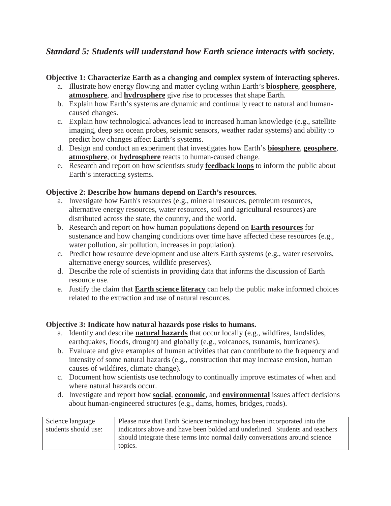#### *Standard 5: Students will understand how Earth science interacts with society.*

#### **Objective 1: Characterize Earth as a changing and complex system of interacting spheres.**

- a. Illustrate how energy flowing and matter cycling within Earth's **biosphere**, **geosphere**, **atmosphere**, and **hydrosphere** give rise to processes that shape Earth.
- b. Explain how Earth's systems are dynamic and continually react to natural and humancaused changes.
- c. Explain how technological advances lead to increased human knowledge (e.g., satellite imaging, deep sea ocean probes, seismic sensors, weather radar systems) and ability to predict how changes affect Earth's systems.
- d. Design and conduct an experiment that investigates how Earth's **biosphere**, **geosphere**, **atmosphere**, or **hydrosphere** reacts to human-caused change.
- e. Research and report on how scientists study **feedback loops** to inform the public about Earth's interacting systems.

#### **Objective 2: Describe how humans depend on Earth's resources.**

- a. Investigate how Earth's resources (e.g., mineral resources, petroleum resources, alternative energy resources, water resources, soil and agricultural resources) are distributed across the state, the country, and the world.
- b. Research and report on how human populations depend on **Earth resources** for sustenance and how changing conditions over time have affected these resources (e.g., water pollution, air pollution, increases in population).
- c. Predict how resource development and use alters Earth systems (e.g., water reservoirs, alternative energy sources, wildlife preserves).
- d. Describe the role of scientists in providing data that informs the discussion of Earth resource use.
- e. Justify the claim that **Earth science literacy** can help the public make informed choices related to the extraction and use of natural resources.

#### **Objective 3: Indicate how natural hazards pose risks to humans.**

- a. Identify and describe **natural hazards** that occur locally (e.g., wildfires, landslides, earthquakes, floods, drought) and globally (e.g., volcanoes, tsunamis, hurricanes).
- b. Evaluate and give examples of human activities that can contribute to the frequency and intensity of some natural hazards (e.g., construction that may increase erosion, human causes of wildfires, climate change).
- c. Document how scientists use technology to continually improve estimates of when and where natural hazards occur.
- d. Investigate and report how **social**, **economic**, and **environmental** issues affect decisions about human-engineered structures (e.g., dams, homes, bridges, roads).

| Science language     | Please note that Earth Science terminology has been incorporated into the   |
|----------------------|-----------------------------------------------------------------------------|
| students should use: | indicators above and have been bolded and underlined. Students and teachers |
|                      | should integrate these terms into normal daily conversations around science |
|                      | topics.                                                                     |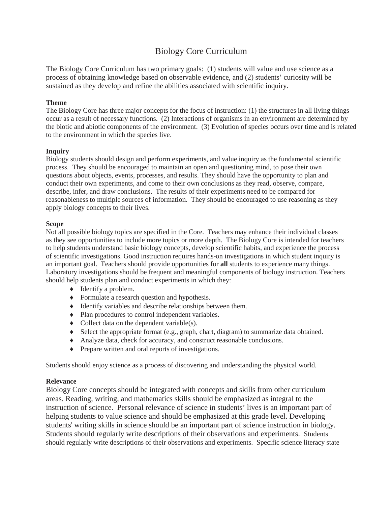#### Biology Core Curriculum

The Biology Core Curriculum has two primary goals: (1) students will value and use science as a process of obtaining knowledge based on observable evidence, and (2) students' curiosity will be sustained as they develop and refine the abilities associated with scientific inquiry.

#### **Theme**

The Biology Core has three major concepts for the focus of instruction: (1) the structures in all living things occur as a result of necessary functions. (2) Interactions of organisms in an environment are determined by the biotic and abiotic components of the environment. (3) Evolution of species occurs over time and is related to the environment in which the species live.

#### **Inquiry**

Biology students should design and perform experiments, and value inquiry as the fundamental scientific process. They should be encouraged to maintain an open and questioning mind, to pose their own questions about objects, events, processes, and results. They should have the opportunity to plan and conduct their own experiments, and come to their own conclusions as they read, observe, compare, describe, infer, and draw conclusions. The results of their experiments need to be compared for reasonableness to multiple sources of information. They should be encouraged to use reasoning as they apply biology concepts to their lives.

#### **Scope**

Not all possible biology topics are specified in the Core. Teachers may enhance their individual classes as they see opportunities to include more topics or more depth. The Biology Core is intended for teachers to help students understand basic biology concepts, develop scientific habits, and experience the process of scientific investigations. Good instruction requires hands-on investigations in which student inquiry is an important goal. Teachers should provide opportunities for **all** students to experience many things. Laboratory investigations should be frequent and meaningful components of biology instruction. Teachers should help students plan and conduct experiments in which they:

- $\triangleleft$  Identify a problem.
- Formulate a research question and hypothesis.
- $\blacklozenge$  Identify variables and describe relationships between them.
- $\bullet$  Plan procedures to control independent variables.
- $\bullet$  Collect data on the dependent variable(s).
- $\bullet$  Select the appropriate format (e.g., graph, chart, diagram) to summarize data obtained.
- i Analyze data, check for accuracy, and construct reasonable conclusions.
- $\bullet$  Prepare written and oral reports of investigations.

Students should enjoy science as a process of discovering and understanding the physical world.

#### **Relevance**

Biology Core concepts should be integrated with concepts and skills from other curriculum areas. Reading, writing, and mathematics skills should be emphasized as integral to the instruction of science. Personal relevance of science in students' lives is an important part of helping students to value science and should be emphasized at this grade level. Developing students' writing skills in science should be an important part of science instruction in biology. Students should regularly write descriptions of their observations and experiments. Students should regularly write descriptions of their observations and experiments. Specific science literacy state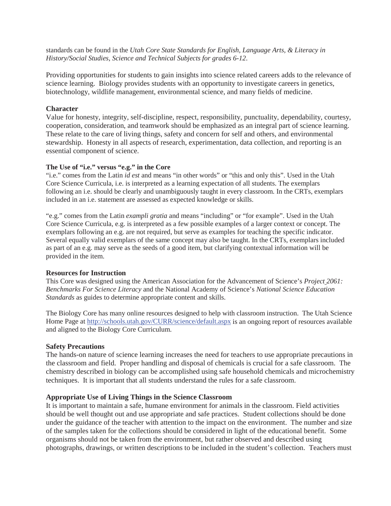standards can be found in the *Utah Core State Standards for English, Language Arts, & Literacy in History/Social Studies, Science and Technical Subjects for grades 6-12*.

Providing opportunities for students to gain insights into science related careers adds to the relevance of science learning. Biology provides students with an opportunity to investigate careers in genetics, biotechnology, wildlife management, environmental science, and many fields of medicine.

#### **Character**

Value for honesty, integrity, self-discipline, respect, responsibility, punctuality, dependability, courtesy, cooperation, consideration, and teamwork should be emphasized as an integral part of science learning. These relate to the care of living things, safety and concern for self and others, and environmental stewardship. Honesty in all aspects of research, experimentation, data collection, and reporting is an essential component of science.

#### **The Use of "i.e." versus "e.g." in the Core**

"i.e." comes from the Latin *id est* and means "in other words" or "this and only this". Used in the Utah Core Science Curricula, i.e. is interpreted as a learning expectation of all students. The exemplars following an i.e. should be clearly and unambiguously taught in every classroom. In the CRTs, exemplars included in an i.e. statement are assessed as expected knowledge or skills.

"e.g." comes from the Latin *exampli gratia* and means "including" or "for example". Used in the Utah Core Science Curricula, e.g. is interpreted as a few possible examples of a larger context or concept. The exemplars following an e.g. are not required, but serve as examples for teaching the specific indicator. Several equally valid exemplars of the same concept may also be taught. In the CRTs, exemplars included as part of an e.g. may serve as the seeds of a good item, but clarifying contextual information will be provided in the item.

#### **Resources for Instruction**

This Core was designed using the American Association for the Advancement of Science's *Project 2061: Benchmarks For Science Literacy* and the National Academy of Science's *National Science Education Standards* as guides to determine appropriate content and skills.

The Biology Core has many online resources designed to help with classroom instruction. The Utah Science Home Page at http://schools.utah.gov/CURR/science/default.aspx is an ongoing report of resources available and aligned to the Biology Core Curriculum.

#### **Safety Precautions**

The hands-on nature of science learning increases the need for teachers to use appropriate precautions in the classroom and field. Proper handling and disposal of chemicals is crucial for a safe classroom. The chemistry described in biology can be accomplished using safe household chemicals and microchemistry techniques. It is important that all students understand the rules for a safe classroom.

#### **Appropriate Use of Living Things in the Science Classroom**

It is important to maintain a safe, humane environment for animals in the classroom. Field activities should be well thought out and use appropriate and safe practices. Student collections should be done under the guidance of the teacher with attention to the impact on the environment. The number and size of the samples taken for the collections should be considered in light of the educational benefit. Some organisms should not be taken from the environment, but rather observed and described using photographs, drawings, or written descriptions to be included in the student's collection. Teachers must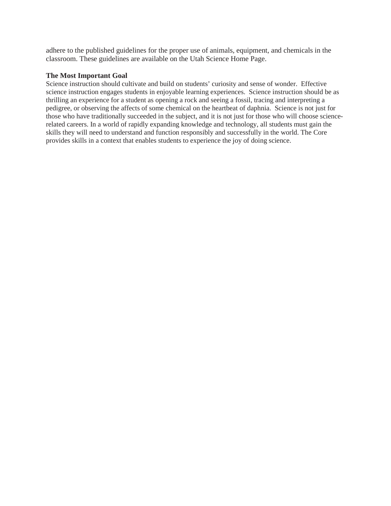adhere to the published guidelines for the proper use of animals, equipment, and chemicals in the classroom. These guidelines are available on the Utah Science Home Page.

#### **The Most Important Goal**

Science instruction should cultivate and build on students' curiosity and sense of wonder. Effective science instruction engages students in enjoyable learning experiences. Science instruction should be as thrilling an experience for a student as opening a rock and seeing a fossil, tracing and interpreting a pedigree, or observing the affects of some chemical on the heartbeat of daphnia. Science is not just for those who have traditionally succeeded in the subject, and it is not just for those who will choose sciencerelated careers. In a world of rapidly expanding knowledge and technology, all students must gain the skills they will need to understand and function responsibly and successfully in the world. The Core provides skills in a context that enables students to experience the joy of doing science.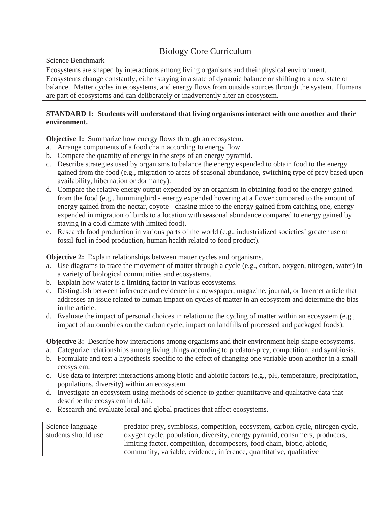#### Biology Core Curriculum

Science Benchmark

Ecosystems are shaped by interactions among living organisms and their physical environment. Ecosystems change constantly, either staying in a state of dynamic balance or shifting to a new state of balance. Matter cycles in ecosystems, and energy flows from outside sources through the system. Humans are part of ecosystems and can deliberately or inadvertently alter an ecosystem.

#### **STANDARD 1: Students will understand that living organisms interact with one another and their environment.**

**Objective 1:** Summarize how energy flows through an ecosystem.

- a. Arrange components of a food chain according to energy flow.
- b. Compare the quantity of energy in the steps of an energy pyramid.
- c. Describe strategies used by organisms to balance the energy expended to obtain food to the energy gained from the food (e.g., migration to areas of seasonal abundance, switching type of prey based upon availability, hibernation or dormancy).
- d. Compare the relative energy output expended by an organism in obtaining food to the energy gained from the food (e.g., hummingbird - energy expended hovering at a flower compared to the amount of energy gained from the nectar, coyote - chasing mice to the energy gained from catching one, energy expended in migration of birds to a location with seasonal abundance compared to energy gained by staying in a cold climate with limited food).
- e. Research food production in various parts of the world (e.g., industrialized societies' greater use of fossil fuel in food production, human health related to food product).

**Objective 2:** Explain relationships between matter cycles and organisms.

- a. Use diagrams to trace the movement of matter through a cycle (e.g., carbon, oxygen, nitrogen, water) in a variety of biological communities and ecosystems.
- b. Explain how water is a limiting factor in various ecosystems.
- c. Distinguish between inference and evidence in a newspaper, magazine, journal, or Internet article that addresses an issue related to human impact on cycles of matter in an ecosystem and determine the bias in the article.
- d. Evaluate the impact of personal choices in relation to the cycling of matter within an ecosystem (e.g., impact of automobiles on the carbon cycle, impact on landfills of processed and packaged foods).

**Objective 3:** Describe how interactions among organisms and their environment help shape ecosystems.

- a. Categorize relationships among living things according to predator-prey, competition, and symbiosis.
- b. Formulate and test a hypothesis specific to the effect of changing one variable upon another in a small ecosystem.
- c. Use data to interpret interactions among biotic and abiotic factors (e.g., pH, temperature, precipitation, populations, diversity) within an ecosystem.
- d. Investigate an ecosystem using methods of science to gather quantitative and qualitative data that describe the ecosystem in detail.
- e. Research and evaluate local and global practices that affect ecosystems.

| Science language     | predator-prey, symbiosis, competition, ecosystem, carbon cycle, nitrogen cycle, |
|----------------------|---------------------------------------------------------------------------------|
| students should use: | oxygen cycle, population, diversity, energy pyramid, consumers, producers,      |
|                      | limiting factor, competition, decomposers, food chain, biotic, abiotic,         |
|                      | community, variable, evidence, inference, quantitative, qualitative             |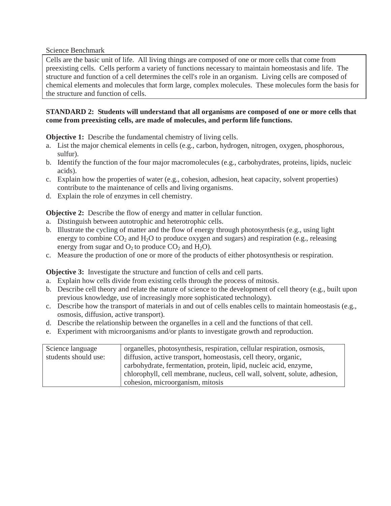Cells are the basic unit of life. All living things are composed of one or more cells that come from preexisting cells. Cells perform a variety of functions necessary to maintain homeostasis and life. The structure and function of a cell determines the cell's role in an organism. Living cells are composed of chemical elements and molecules that form large, complex molecules. These molecules form the basis for the structure and function of cells.

#### **STANDARD 2: Students will understand that all organisms are composed of one or more cells that come from preexisting cells, are made of molecules, and perform life functions.**

**Objective 1:** Describe the fundamental chemistry of living cells.

- a. List the major chemical elements in cells (e.g., carbon, hydrogen, nitrogen, oxygen, phosphorous, sulfur).
- b. Identify the function of the four major macromolecules (e.g., carbohydrates, proteins, lipids, nucleic acids).
- c. Explain how the properties of water (e.g., cohesion, adhesion, heat capacity, solvent properties) contribute to the maintenance of cells and living organisms.
- d. Explain the role of enzymes in cell chemistry.

**Objective 2:** Describe the flow of energy and matter in cellular function.

- a. Distinguish between autotrophic and heterotrophic cells.
- b. Illustrate the cycling of matter and the flow of energy through photosynthesis (e.g., using light energy to combine  $CO_2$  and  $H_2O$  to produce oxygen and sugars) and respiration (e.g., releasing energy from sugar and  $O_2$  to produce  $CO_2$  and  $H_2O$ ).
- c. Measure the production of one or more of the products of either photosynthesis or respiration.

**Objective 3:** Investigate the structure and function of cells and cell parts.

- a. Explain how cells divide from existing cells through the process of mitosis.
- b. Describe cell theory and relate the nature of science to the development of cell theory (e.g., built upon previous knowledge, use of increasingly more sophisticated technology).
- c. Describe how the transport of materials in and out of cells enables cells to maintain homeostasis (e.g., osmosis, diffusion, active transport).
- d. Describe the relationship between the organelles in a cell and the functions of that cell.
- e. Experiment with microorganisms and/or plants to investigate growth and reproduction.

| Science language     | organelles, photosynthesis, respiration, cellular respiration, osmosis,    |
|----------------------|----------------------------------------------------------------------------|
| students should use: | diffusion, active transport, homeostasis, cell theory, organic,            |
|                      | carbohydrate, fermentation, protein, lipid, nucleic acid, enzyme,          |
|                      | chlorophyll, cell membrane, nucleus, cell wall, solvent, solute, adhesion, |
|                      | cohesion, microorganism, mitosis                                           |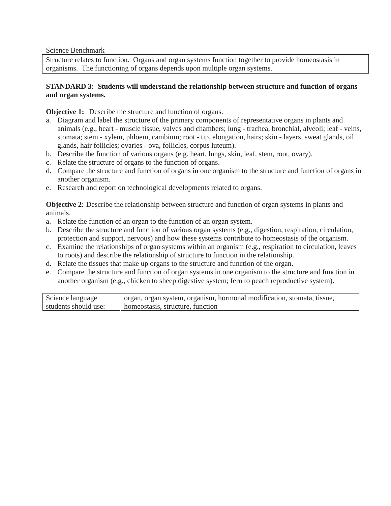Structure relates to function. Organs and organ systems function together to provide homeostasis in organisms. The functioning of organs depends upon multiple organ systems.

#### **STANDARD 3: Students will understand the relationship between structure and function of organs and organ systems.**

**Objective 1:** Describe the structure and function of organs.

- a. Diagram and label the structure of the primary components of representative organs in plants and animals (e.g., heart - muscle tissue, valves and chambers; lung - trachea, bronchial, alveoli; leaf - veins, stomata; stem - xylem, phloem, cambium; root - tip, elongation, hairs; skin - layers, sweat glands, oil glands, hair follicles; ovaries - ova, follicles, corpus luteum).
- b. Describe the function of various organs (e.g. heart, lungs, skin, leaf, stem, root, ovary).
- c. Relate the structure of organs to the function of organs.
- d. Compare the structure and function of organs in one organism to the structure and function of organs in another organism.
- e. Research and report on technological developments related to organs.

**Objective 2**: Describe the relationship between structure and function of organ systems in plants and animals.

- a. Relate the function of an organ to the function of an organ system.
- b. Describe the structure and function of various organ systems (e.g., digestion, respiration, circulation, protection and support, nervous) and how these systems contribute to homeostasis of the organism.
- c. Examine the relationships of organ systems within an organism (e.g., respiration to circulation, leaves to roots) and describe the relationship of structure to function in the relationship.
- d. Relate the tissues that make up organs to the structure and function of the organ.
- e. Compare the structure and function of organ systems in one organism to the structure and function in another organism (e.g., chicken to sheep digestive system; fern to peach reproductive system).

| Science language     | l organ, organ system, organism, hormonal modification, stomata, tissue, |
|----------------------|--------------------------------------------------------------------------|
| students should use: | homeostasis, structure, function                                         |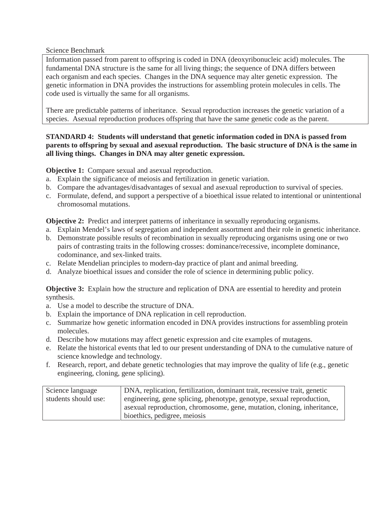Information passed from parent to offspring is coded in DNA (deoxyribonucleic acid) molecules. The fundamental DNA structure is the same for all living things; the sequence of DNA differs between each organism and each species. Changes in the DNA sequence may alter genetic expression. The genetic information in DNA provides the instructions for assembling protein molecules in cells. The code used is virtually the same for all organisms.

There are predictable patterns of inheritance. Sexual reproduction increases the genetic variation of a species. Asexual reproduction produces offspring that have the same genetic code as the parent.

#### **STANDARD 4: Students will understand that genetic information coded in DNA is passed from parents to offspring by sexual and asexual reproduction. The basic structure of DNA is the same in all living things. Changes in DNA may alter genetic expression.**

**Objective 1:** Compare sexual and asexual reproduction.

- a. Explain the significance of meiosis and fertilization in genetic variation.
- b. Compare the advantages/disadvantages of sexual and asexual reproduction to survival of species.
- c. Formulate, defend, and support a perspective of a bioethical issue related to intentional or unintentional chromosomal mutations.

**Objective 2:** Predict and interpret patterns of inheritance in sexually reproducing organisms.

- a. Explain Mendel's laws of segregation and independent assortment and their role in genetic inheritance.
- b. Demonstrate possible results of recombination in sexually reproducing organisms using one or two pairs of contrasting traits in the following crosses: dominance/recessive, incomplete dominance, codominance, and sex-linked traits.
- c. Relate Mendelian principles to modern-day practice of plant and animal breeding.
- d. Analyze bioethical issues and consider the role of science in determining public policy.

**Objective 3:** Explain how the structure and replication of DNA are essential to heredity and protein synthesis.

- a. Use a model to describe the structure of DNA.
- b. Explain the importance of DNA replication in cell reproduction.
- c. Summarize how genetic information encoded in DNA provides instructions for assembling protein molecules.
- d. Describe how mutations may affect genetic expression and cite examples of mutagens.
- e. Relate the historical events that led to our present understanding of DNA to the cumulative nature of science knowledge and technology.
- f. Research, report, and debate genetic technologies that may improve the quality of life (e.g., genetic engineering, cloning, gene splicing).

| Science language     | DNA, replication, fertilization, dominant trait, recessive trait, genetic |
|----------------------|---------------------------------------------------------------------------|
| students should use: | engineering, gene splicing, phenotype, genotype, sexual reproduction,     |
|                      | asexual reproduction, chromosome, gene, mutation, cloning, inheritance,   |
|                      | bioethics, pedigree, meiosis                                              |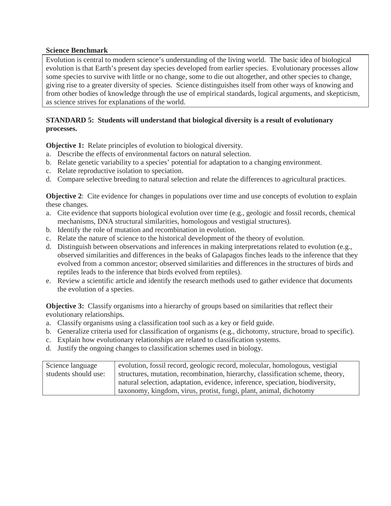Evolution is central to modern science's understanding of the living world. The basic idea of biological evolution is that Earth's present day species developed from earlier species. Evolutionary processes allow some species to survive with little or no change, some to die out altogether, and other species to change, giving rise to a greater diversity of species. Science distinguishes itself from other ways of knowing and from other bodies of knowledge through the use of empirical standards, logical arguments, and skepticism, as science strives for explanations of the world.

#### **STANDARD 5: Students will understand that biological diversity is a result of evolutionary processes.**

**Objective 1:** Relate principles of evolution to biological diversity.

- a. Describe the effects of environmental factors on natural selection.
- b. Relate genetic variability to a species' potential for adaptation to a changing environment.
- c. Relate reproductive isolation to speciation.
- d. Compare selective breeding to natural selection and relate the differences to agricultural practices.

**Objective 2:** Cite evidence for changes in populations over time and use concepts of evolution to explain these changes.

- a. Cite evidence that supports biological evolution over time (e.g., geologic and fossil records, chemical mechanisms, DNA structural similarities, homologous and vestigial structures).
- b. Identify the role of mutation and recombination in evolution.
- c. Relate the nature of science to the historical development of the theory of evolution.
- d. Distinguish between observations and inferences in making interpretations related to evolution (e.g., observed similarities and differences in the beaks of Galapagos finches leads to the inference that they evolved from a common ancestor; observed similarities and differences in the structures of birds and reptiles leads to the inference that birds evolved from reptiles).
- e. Review a scientific article and identify the research methods used to gather evidence that documents the evolution of a species.

**Objective 3:** Classify organisms into a hierarchy of groups based on similarities that reflect their evolutionary relationships.

- a. Classify organisms using a classification tool such as a key or field guide.
- b. Generalize criteria used for classification of organisms (e.g., dichotomy, structure, broad to specific).
- c. Explain how evolutionary relationships are related to classification systems.
- d. Justify the ongoing changes to classification schemes used in biology.

| Science language     | evolution, fossil record, geologic record, molecular, homologous, vestigial    |
|----------------------|--------------------------------------------------------------------------------|
| students should use: | structures, mutation, recombination, hierarchy, classification scheme, theory, |
|                      | natural selection, adaptation, evidence, inference, speciation, biodiversity,  |
|                      | taxonomy, kingdom, virus, protist, fungi, plant, animal, dichotomy             |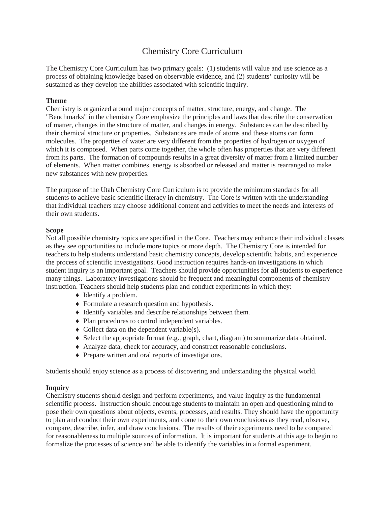#### Chemistry Core Curriculum

The Chemistry Core Curriculum has two primary goals: (1) students will value and use science as a process of obtaining knowledge based on observable evidence, and (2) students' curiosity will be sustained as they develop the abilities associated with scientific inquiry.

#### **Theme**

Chemistry is organized around major concepts of matter, structure, energy, and change. The "Benchmarks" in the chemistry Core emphasize the principles and laws that describe the conservation of matter, changes in the structure of matter, and changes in energy. Substances can be described by their chemical structure or properties. Substances are made of atoms and these atoms can form molecules. The properties of water are very different from the properties of hydrogen or oxygen of which it is composed. When parts come together, the whole often has properties that are very different from its parts. The formation of compounds results in a great diversity of matter from a limited number of elements. When matter combines, energy is absorbed or released and matter is rearranged to make new substances with new properties.

The purpose of the Utah Chemistry Core Curriculum is to provide the minimum standards for all students to achieve basic scientific literacy in chemistry. The Core is written with the understanding that individual teachers may choose additional content and activities to meet the needs and interests of their own students.

#### **Scope**

Not all possible chemistry topics are specified in the Core. Teachers may enhance their individual classes as they see opportunities to include more topics or more depth. The Chemistry Core is intended for teachers to help students understand basic chemistry concepts, develop scientific habits, and experience the process of scientific investigations. Good instruction requires hands-on investigations in which student inquiry is an important goal. Teachers should provide opportunities for **all** students to experience many things. Laboratory investigations should be frequent and meaningful components of chemistry instruction. Teachers should help students plan and conduct experiments in which they:

- $\blacklozenge$  Identify a problem.
- $\triangle$  Formulate a research question and hypothesis.
- $\blacklozenge$  Identify variables and describe relationships between them.
- $\bullet$  Plan procedures to control independent variables.
- $\bullet$  Collect data on the dependent variable(s).
- $\bullet$  Select the appropriate format (e.g., graph, chart, diagram) to summarize data obtained.
- i Analyze data, check for accuracy, and construct reasonable conclusions.
- $\triangle$  Prepare written and oral reports of investigations.

Students should enjoy science as a process of discovering and understanding the physical world.

#### **Inquiry**

Chemistry students should design and perform experiments, and value inquiry as the fundamental scientific process. Instruction should encourage students to maintain an open and questioning mind to pose their own questions about objects, events, processes, and results. They should have the opportunity to plan and conduct their own experiments, and come to their own conclusions as they read, observe, compare, describe, infer, and draw conclusions. The results of their experiments need to be compared for reasonableness to multiple sources of information. It is important for students at this age to begin to formalize the processes of science and be able to identify the variables in a formal experiment.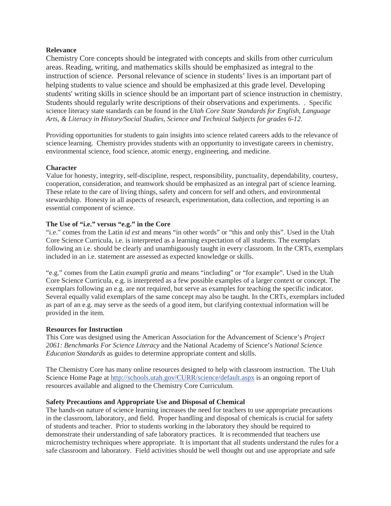#### **Relevance**

Chemistry Core concepts should be integrated with concepts and skills from other curriculum areas. Reading, writing, and mathematics skills should be emphasized as integral to the instruction of science. Personal relevance of science in students' lives is an important part of helping students to value science and should be emphasized at this grade level. Developing students' writing skills in science should be an important part of science instruction in chemistry. Students should regularly write descriptions of their observations and experiments. . Specific science literacy state standards can be found in the *Utah Core State Standards for English, Language Arts, & Literacy in History/Social Studies, Science and Technical Subjects for grades 6-12*.

Providing opportunities for students to gain insights into science related careers adds to the relevance of science learning. Chemistry provides students with an opportunity to investigate careers in chemistry, environmental science, food science, atomic energy, engineering, and medicine.

#### **Character**

Value for honesty, integrity, self-discipline, respect, responsibility, punctuality, dependability, courtesy, cooperation, consideration, and teamwork should be emphasized as an integral part of science learning. These relate to the care of living things, safety and concern for self and others, and environmental stewardship. Honesty in all aspects of research, experimentation, data collection, and reporting is an essential component of science.

#### **The Use of "i.e." versus "e.g." in the Core**

"i.e." comes from the Latin *id est* and means "in other words" or "this and only this". Used in the Utah Core Science Curricula, i.e. is interpreted as a learning expectation of all students. The exemplars following an i.e. should be clearly and unambiguously taught in every classroom. In the CRTs, exemplars included in an i.e. statement are assessed as expected knowledge or skills.

"e.g." comes from the Latin *exampli gratia* and means "including" or "for example". Used in the Utah Core Science Curricula, e.g. is interpreted as a few possible examples of a larger context or concept. The exemplars following an e.g. are not required, but serve as examples for teaching the specific indicator. Several equally valid exemplars of the same concept may also be taught. In the CRTs, exemplars included as part of an e.g. may serve as the seeds of a good item, but clarifying contextual information will be provided in the item.

#### **Resources for Instruction**

This Core was designed using the American Association for the Advancement of Science's *Project 2061: Benchmarks For Science Literacy* and the National Academy of Science's *National Science Education Standards* as guides to determine appropriate content and skills.

The Chemistry Core has many online resources designed to help with classroom instruction. The Utah Science Home Page at http://schools.utah.gov/CURR/science/default.aspx is an ongoing report of resources available and aligned to the Chemistry Core Curriculum.

#### **Safety Precautions and Appropriate Use and Disposal of Chemical**

The hands-on nature of science learning increases the need for teachers to use appropriate precautions in the classroom, laboratory, and field. Proper handling and disposal of chemicals is crucial for safety of students and teacher. Prior to students working in the laboratory they should be required to demonstrate their understanding of safe laboratory practices. It is recommended that teachers use microchemistry techniques where appropriate. It is important that all students understand the rules for a safe classroom and laboratory. Field activities should be well thought out and use appropriate and safe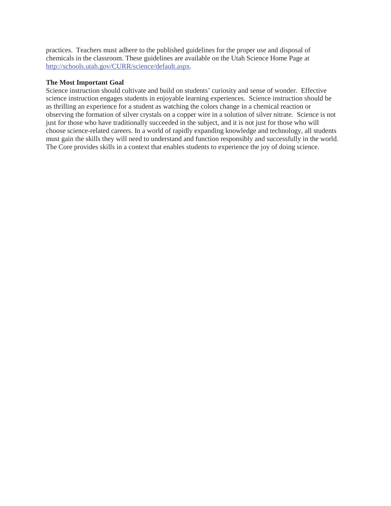practices. Teachers must adhere to the published guidelines for the proper use and disposal of chemicals in the classroom. These guidelines are available on the Utah Science Home Page at http://schools.utah.gov/CURR/science/default.aspx.

#### **The Most Important Goal**

Science instruction should cultivate and build on students' curiosity and sense of wonder. Effective science instruction engages students in enjoyable learning experiences. Science instruction should be as thrilling an experience for a student as watching the colors change in a chemical reaction or observing the formation of silver crystals on a copper wire in a solution of silver nitrate. Science is not just for those who have traditionally succeeded in the subject, and it is not just for those who will choose science-related careers. In a world of rapidly expanding knowledge and technology, all students must gain the skills they will need to understand and function responsibly and successfully in the world. The Core provides skills in a context that enables students to experience the joy of doing science.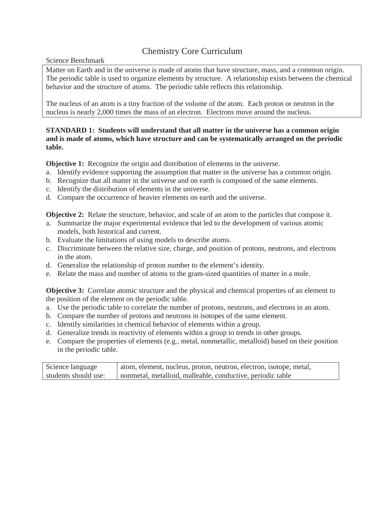#### Chemistry Core Curriculum

Science Benchmark

Matter on Earth and in the universe is made of atoms that have structure, mass, and a common origin. The periodic table is used to organize elements by structure. A relationship exists between the chemical behavior and the structure of atoms. The periodic table reflects this relationship.

The nucleus of an atom is a tiny fraction of the volume of the atom. Each proton or neutron in the nucleus is nearly 2,000 times the mass of an electron. Electrons move around the nucleus.

#### **STANDARD 1: Students will understand that all matter in the universe has a common origin and is made of atoms, which have structure and can be systematically arranged on the periodic table.**

**Objective 1:** Recognize the origin and distribution of elements in the universe.

- a. Identify evidence supporting the assumption that matter in the universe has a common origin.
- b. Recognize that all matter in the universe and on earth is composed of the same elements.
- c. Identify the distribution of elements in the universe.
- d. Compare the occurrence of heavier elements on earth and the universe.

**Objective 2:** Relate the structure, behavior, and scale of an atom to the particles that compose it.

- a. Summarize the major experimental evidence that led to the development of various atomic models, both historical and current.
- b. Evaluate the limitations of using models to describe atoms.
- c. Discriminate between the relative size, charge, and position of protons, neutrons, and electrons in the atom.
- d. Generalize the relationship of proton number to the element's identity.
- e. Relate the mass and number of atoms to the gram-sized quantities of matter in a mole.

**Objective 3:** Correlate atomic structure and the physical and chemical properties of an element to the position of the element on the periodic table.

- a. Use the periodic table to correlate the number of protons, neutrons, and electrons in an atom.
- b. Compare the number of protons and neutrons in isotopes of the same element.
- c. Identify similarities in chemical behavior of elements within a group.
- d. Generalize trends in reactivity of elements within a group to trends in other groups.
- e. Compare the properties of elements (e.g., metal, nonmetallic, metalloid) based on their position in the periodic table.

| Science language     | atom, element, nucleus, proton, neutron, electron, isotope, metal, |
|----------------------|--------------------------------------------------------------------|
| students should use: | nonmetal, metalloid, malleable, conductive, periodic table         |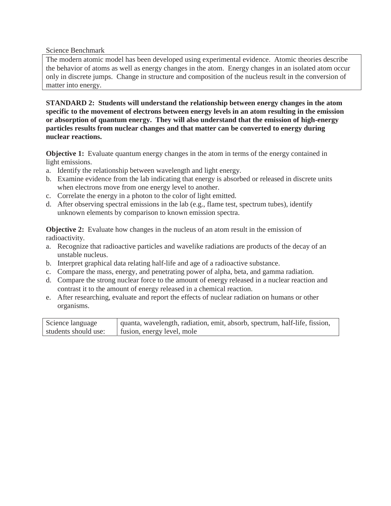The modern atomic model has been developed using experimental evidence. Atomic theories describe the behavior of atoms as well as energy changes in the atom. Energy changes in an isolated atom occur only in discrete jumps. Change in structure and composition of the nucleus result in the conversion of matter into energy.

**STANDARD 2: Students will understand the relationship between energy changes in the atom specific to the movement of electrons between energy levels in an atom resulting in the emission or absorption of quantum energy. They will also understand that the emission of high-energy particles results from nuclear changes and that matter can be converted to energy during nuclear reactions.**

**Objective 1:** Evaluate quantum energy changes in the atom in terms of the energy contained in light emissions.

- a. Identify the relationship between wavelength and light energy.
- b. Examine evidence from the lab indicating that energy is absorbed or released in discrete units when electrons move from one energy level to another.
- c. Correlate the energy in a photon to the color of light emitted.
- d. After observing spectral emissions in the lab (e.g., flame test, spectrum tubes), identify unknown elements by comparison to known emission spectra.

**Objective 2:** Evaluate how changes in the nucleus of an atom result in the emission of radioactivity.

- a. Recognize that radioactive particles and wavelike radiations are products of the decay of an unstable nucleus.
- b. Interpret graphical data relating half-life and age of a radioactive substance.
- c. Compare the mass, energy, and penetrating power of alpha, beta, and gamma radiation.
- d. Compare the strong nuclear force to the amount of energy released in a nuclear reaction and contrast it to the amount of energy released in a chemical reaction.
- e. After researching, evaluate and report the effects of nuclear radiation on humans or other organisms.

| Science language     | quanta, wavelength, radiation, emit, absorb, spectrum, half-life, fission, |
|----------------------|----------------------------------------------------------------------------|
| students should use: | fusion, energy level, mole                                                 |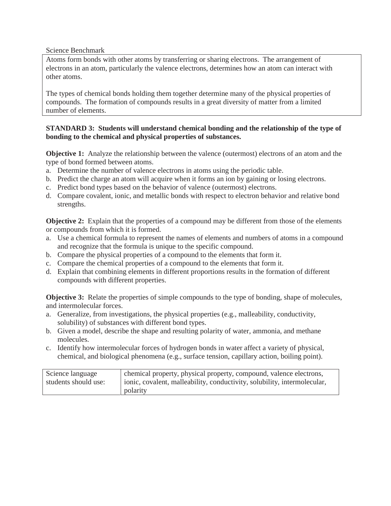Atoms form bonds with other atoms by transferring or sharing electrons. The arrangement of electrons in an atom, particularly the valence electrons, determines how an atom can interact with other atoms.

The types of chemical bonds holding them together determine many of the physical properties of compounds. The formation of compounds results in a great diversity of matter from a limited number of elements.

#### **STANDARD 3: Students will understand chemical bonding and the relationship of the type of bonding to the chemical and physical properties of substances.**

**Objective 1:** Analyze the relationship between the valence (outermost) electrons of an atom and the type of bond formed between atoms.

- a. Determine the number of valence electrons in atoms using the periodic table.
- b. Predict the charge an atom will acquire when it forms an ion by gaining or losing electrons.
- c. Predict bond types based on the behavior of valence (outermost) electrons.
- d. Compare covalent, ionic, and metallic bonds with respect to electron behavior and relative bond strengths.

**Objective 2:** Explain that the properties of a compound may be different from those of the elements or compounds from which it is formed.

- a. Use a chemical formula to represent the names of elements and numbers of atoms in a compound and recognize that the formula is unique to the specific compound.
- b. Compare the physical properties of a compound to the elements that form it.
- c. Compare the chemical properties of a compound to the elements that form it.
- d. Explain that combining elements in different proportions results in the formation of different compounds with different properties.

**Objective 3:** Relate the properties of simple compounds to the type of bonding, shape of molecules, and intermolecular forces.

- a. Generalize, from investigations, the physical properties (e.g., malleability, conductivity, solubility) of substances with different bond types.
- b. Given a model, describe the shape and resulting polarity of water, ammonia, and methane molecules.
- c. Identify how intermolecular forces of hydrogen bonds in water affect a variety of physical, chemical, and biological phenomena (e.g., surface tension, capillary action, boiling point).

| Science language     | chemical property, physical property, compound, valence electrons,       |
|----------------------|--------------------------------------------------------------------------|
| students should use: | ionic, covalent, malleability, conductivity, solubility, intermolecular, |
|                      | polarity                                                                 |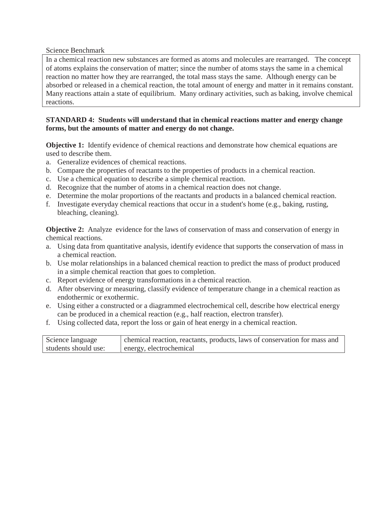In a chemical reaction new substances are formed as atoms and molecules are rearranged. The concept of atoms explains the conservation of matter; since the number of atoms stays the same in a chemical reaction no matter how they are rearranged, the total mass stays the same. Although energy can be absorbed or released in a chemical reaction, the total amount of energy and matter in it remains constant. Many reactions attain a state of equilibrium. Many ordinary activities, such as baking, involve chemical reactions.

#### **STANDARD 4: Students will understand that in chemical reactions matter and energy change forms, but the amounts of matter and energy do not change.**

**Objective 1:** Identify evidence of chemical reactions and demonstrate how chemical equations are used to describe them.

- a. Generalize evidences of chemical reactions.
- b. Compare the properties of reactants to the properties of products in a chemical reaction.
- c. Use a chemical equation to describe a simple chemical reaction.
- d. Recognize that the number of atoms in a chemical reaction does not change.
- e. Determine the molar proportions of the reactants and products in a balanced chemical reaction.
- f. Investigate everyday chemical reactions that occur in a student's home (e.g., baking, rusting, bleaching, cleaning).

**Objective 2:** Analyze evidence for the laws of conservation of mass and conservation of energy in chemical reactions.

- a. Using data from quantitative analysis, identify evidence that supports the conservation of mass in a chemical reaction.
- b. Use molar relationships in a balanced chemical reaction to predict the mass of product produced in a simple chemical reaction that goes to completion.
- c. Report evidence of energy transformations in a chemical reaction.
- d. After observing or measuring, classify evidence of temperature change in a chemical reaction as endothermic or exothermic.
- e. Using either a constructed or a diagrammed electrochemical cell, describe how electrical energy can be produced in a chemical reaction (e.g., half reaction, electron transfer).
- f. Using collected data, report the loss or gain of heat energy in a chemical reaction.

| Science language     | chemical reaction, reactants, products, laws of conservation for mass and |
|----------------------|---------------------------------------------------------------------------|
| students should use: | energy, electrochemical                                                   |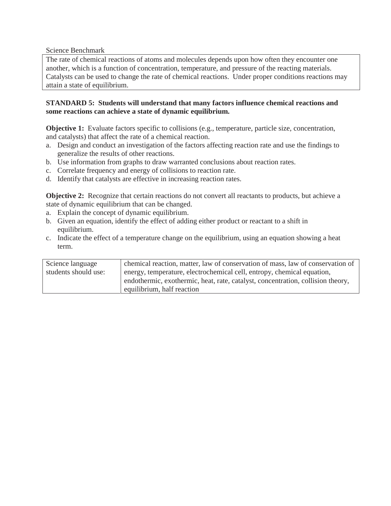The rate of chemical reactions of atoms and molecules depends upon how often they encounter one another, which is a function of concentration, temperature, and pressure of the reacting materials. Catalysts can be used to change the rate of chemical reactions. Under proper conditions reactions may attain a state of equilibrium.

#### **STANDARD 5: Students will understand that many factors influence chemical reactions and some reactions can achieve a state of dynamic equilibrium.**

**Objective 1:** Evaluate factors specific to collisions (e.g., temperature, particle size, concentration, and catalysts) that affect the rate of a chemical reaction.

- a. Design and conduct an investigation of the factors affecting reaction rate and use the findings to generalize the results of other reactions.
- b. Use information from graphs to draw warranted conclusions about reaction rates.
- c. Correlate frequency and energy of collisions to reaction rate.
- d. Identify that catalysts are effective in increasing reaction rates.

**Objective 2:** Recognize that certain reactions do not convert all reactants to products, but achieve a state of dynamic equilibrium that can be changed.

- a. Explain the concept of dynamic equilibrium.
- b. Given an equation, identify the effect of adding either product or reactant to a shift in equilibrium.
- c. Indicate the effect of a temperature change on the equilibrium, using an equation showing a heat term.

| Science language     | chemical reaction, matter, law of conservation of mass, law of conservation of  |
|----------------------|---------------------------------------------------------------------------------|
| students should use: | energy, temperature, electrochemical cell, entropy, chemical equation,          |
|                      | endothermic, exothermic, heat, rate, catalyst, concentration, collision theory, |
|                      | equilibrium, half reaction                                                      |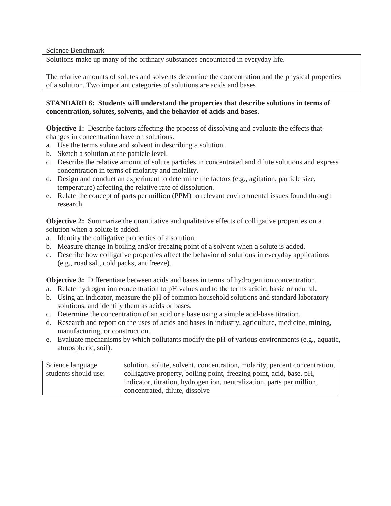Solutions make up many of the ordinary substances encountered in everyday life.

The relative amounts of solutes and solvents determine the concentration and the physical properties of a solution. Two important categories of solutions are acids and bases.

#### **STANDARD 6: Students will understand the properties that describe solutions in terms of concentration, solutes, solvents, and the behavior of acids and bases.**

**Objective 1:** Describe factors affecting the process of dissolving and evaluate the effects that changes in concentration have on solutions.

- a. Use the terms solute and solvent in describing a solution.
- b. Sketch a solution at the particle level.
- c. Describe the relative amount of solute particles in concentrated and dilute solutions and express concentration in terms of molarity and molality.
- d. Design and conduct an experiment to determine the factors (e.g., agitation, particle size, temperature) affecting the relative rate of dissolution.
- e. Relate the concept of parts per million (PPM) to relevant environmental issues found through research.

**Objective 2:** Summarize the quantitative and qualitative effects of colligative properties on a solution when a solute is added.

- a. Identify the colligative properties of a solution.
- b. Measure change in boiling and/or freezing point of a solvent when a solute is added.
- c. Describe how colligative properties affect the behavior of solutions in everyday applications (e.g., road salt, cold packs, antifreeze).

**Objective 3:** Differentiate between acids and bases in terms of hydrogen ion concentration.

- a. Relate hydrogen ion concentration to pH values and to the terms acidic, basic or neutral.
- b. Using an indicator, measure the pH of common household solutions and standard laboratory solutions, and identify them as acids or bases.
- c. Determine the concentration of an acid or a base using a simple acid-base titration.
- d. Research and report on the uses of acids and bases in industry, agriculture, medicine, mining, manufacturing, or construction.
- e. Evaluate mechanisms by which pollutants modify the pH of various environments (e.g., aquatic, atmospheric, soil).

| Science language     | solution, solute, solvent, concentration, molarity, percent concentration, |
|----------------------|----------------------------------------------------------------------------|
| students should use: | colligative property, boiling point, freezing point, acid, base, pH,       |
|                      | indicator, titration, hydrogen ion, neutralization, parts per million,     |
|                      | concentrated, dilute, dissolve                                             |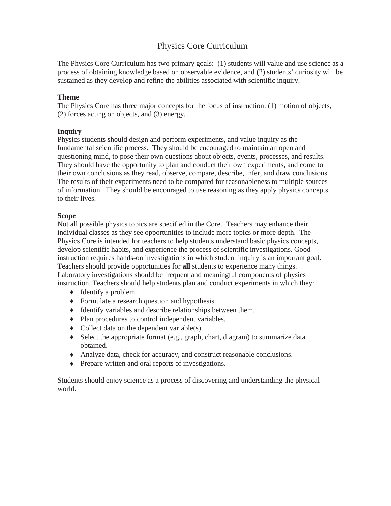#### Physics Core Curriculum

The Physics Core Curriculum has two primary goals: (1) students will value and use science as a process of obtaining knowledge based on observable evidence, and (2) students' curiosity will be sustained as they develop and refine the abilities associated with scientific inquiry.

#### **Theme**

The Physics Core has three major concepts for the focus of instruction: (1) motion of objects, (2) forces acting on objects, and (3) energy.

#### **Inquiry**

Physics students should design and perform experiments, and value inquiry as the fundamental scientific process. They should be encouraged to maintain an open and questioning mind, to pose their own questions about objects, events, processes, and results. They should have the opportunity to plan and conduct their own experiments, and come to their own conclusions as they read, observe, compare, describe, infer, and draw conclusions. The results of their experiments need to be compared for reasonableness to multiple sources of information. They should be encouraged to use reasoning as they apply physics concepts to their lives.

#### **Scope**

Not all possible physics topics are specified in the Core. Teachers may enhance their individual classes as they see opportunities to include more topics or more depth. The Physics Core is intended for teachers to help students understand basic physics concepts, develop scientific habits, and experience the process of scientific investigations. Good instruction requires hands-on investigations in which student inquiry is an important goal. Teachers should provide opportunities for **all** students to experience many things. Laboratory investigations should be frequent and meaningful components of physics instruction. Teachers should help students plan and conduct experiments in which they:

- $\triangleleft$  Identify a problem.
- Formulate a research question and hypothesis.
- $\blacklozenge$  Identify variables and describe relationships between them.
- $\bullet$  Plan procedures to control independent variables.
- $\bullet$  Collect data on the dependent variable(s).
- $\bullet$  Select the appropriate format (e.g., graph, chart, diagram) to summarize data obtained.
- i Analyze data, check for accuracy, and construct reasonable conclusions.
- $\bullet$  Prepare written and oral reports of investigations.

Students should enjoy science as a process of discovering and understanding the physical world.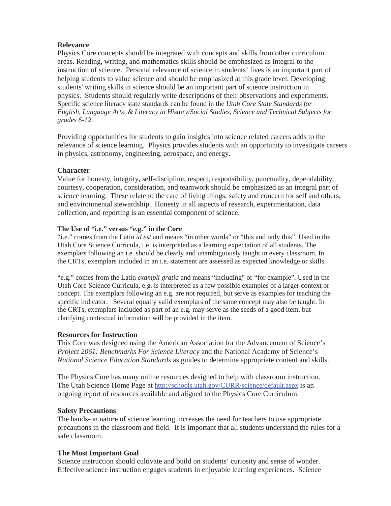#### **Relevance**

Physics Core concepts should be integrated with concepts and skills from other curriculum areas. Reading, writing, and mathematics skills should be emphasized as integral to the instruction of science. Personal relevance of science in students' lives is an important part of helping students to value science and should be emphasized at this grade level. Developing students' writing skills in science should be an important part of science instruction in physics. Students should regularly write descriptions of their observations and experiments. Specific science literacy state standards can be found in the *Utah Core State Standards for English, Language Arts, & Literacy in History/Social Studies, Science and Technical Subjects for grades 6-12*.

Providing opportunities for students to gain insights into science related careers adds to the relevance of science learning. Physics provides students with an opportunity to investigate careers in physics, astronomy, engineering, aerospace, and energy.

#### **Character**

Value for honesty, integrity, self-discipline, respect, responsibility, punctuality, dependability, courtesy, cooperation, consideration, and teamwork should be emphasized as an integral part of science learning. These relate to the care of living things, safety and concern for self and others, and environmental stewardship. Honesty in all aspects of research, experimentation, data collection, and reporting is an essential component of science.

#### **The Use of "i.e." versus "e.g." in the Core**

"i.e." comes from the Latin *id est* and means "in other words" or "this and only this". Used in the Utah Core Science Curricula, i.e. is interpreted as a learning expectation of all students. The exemplars following an i.e. should be clearly and unambiguously taught in every classroom. In the CRTs, exemplars included in an i.e. statement are assessed as expected knowledge or skills.

"e.g." comes from the Latin *exampli gratia* and means "including" or "for example". Used in the Utah Core Science Curricula, e.g. is interpreted as a few possible examples of a larger context or concept. The exemplars following an e.g. are not required, but serve as examples for teaching the specific indicator. Several equally valid exemplars of the same concept may also be taught. In the CRTs, exemplars included as part of an e.g. may serve as the seeds of a good item, but clarifying contextual information will be provided in the item.

#### **Resources for Instruction**

This Core was designed using the American Association for the Advancement of Science's *Project 2061: Benchmarks For Science Literacy* and the National Academy of Science's *National Science Education Standards* as guides to determine appropriate content and skills.

The Physics Core has many online resources designed to help with classroom instruction. The Utah Science Home Page at http://schools.utah.gov/CURR/science/default.aspx is an ongoing report of resources available and aligned to the Physics Core Curriculum.

#### **Safety Precautions**

The hands-on nature of science learning increases the need for teachers to use appropriate precautions in the classroom and field. It is important that all students understand the rules for a safe classroom.

#### **The Most Important Goal**

Science instruction should cultivate and build on students' curiosity and sense of wonder. Effective science instruction engages students in enjoyable learning experiences. Science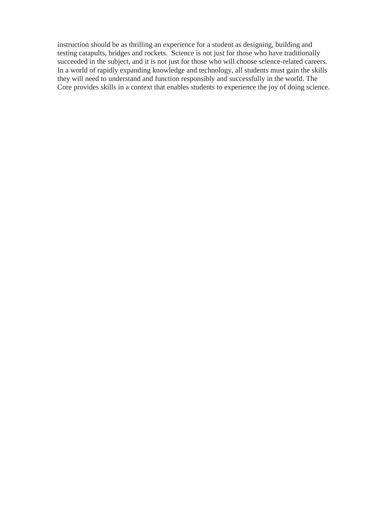instruction should be as thrilling an experience for a student as designing, building and testing catapults, bridges and rockets. Science is not just for those who have traditionally succeeded in the subject, and it is not just for those who will choose science-related careers. In a world of rapidly expanding knowledge and technology, all students must gain the skills they will need to understand and function responsibly and successfully in the world. The Core provides skills in a context that enables students to experience the joy of doing science.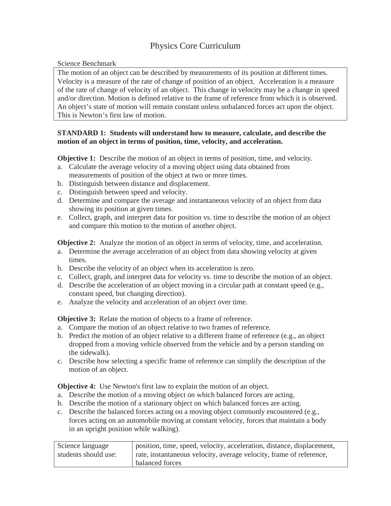#### Physics Core Curriculum

Science Benchmark

The motion of an object can be described by measurements of its position at different times. Velocity is a measure of the rate of change of position of an object. Acceleration is a measure of the rate of change of velocity of an object. This change in velocity may be a change in speed and/or direction. Motion is defined relative to the frame of reference from which it is observed. An object's state of motion will remain constant unless unbalanced forces act upon the object. This is Newton's first law of motion.

#### **STANDARD 1: Students will understand how to measure, calculate, and describe the motion of an object in terms of position, time, velocity, and acceleration.**

**Objective 1:** Describe the motion of an object in terms of position, time, and velocity.

- a. Calculate the average velocity of a moving object using data obtained from measurements of position of the object at two or more times.
- b. Distinguish between distance and displacement.
- c. Distinguish between speed and velocity.
- d. Determine and compare the average and instantaneous velocity of an object from data showing its position at given times.
- e. Collect, graph, and interpret data for position vs. time to describe the motion of an object and compare this motion to the motion of another object.

**Objective 2:** Analyze the motion of an object in terms of velocity, time, and acceleration.

- a. Determine the average acceleration of an object from data showing velocity at given times.
- b. Describe the velocity of an object when its acceleration is zero.
- c. Collect, graph, and interpret data for velocity vs. time to describe the motion of an object.
- d. Describe the acceleration of an object moving in a circular path at constant speed  $(e.g.,)$ constant speed, but changing direction).
- e. Analyze the velocity and acceleration of an object over time.

**Objective 3:** Relate the motion of objects to a frame of reference.

- a. Compare the motion of an object relative to two frames of reference.
- b. Predict the motion of an object relative to a different frame of reference (e.g., an object dropped from a moving vehicle observed from the vehicle and by a person standing on the sidewalk).
- c. Describe how selecting a specific frame of reference can simplify the description of the motion of an object.

**Objective 4:** Use Newton's first law to explain the motion of an object.

- a. Describe the motion of a moving object on which balanced forces are acting.
- b. Describe the motion of a stationary object on which balanced forces are acting.
- c. Describe the balanced forces acting on a moving object commonly encountered (e.g., forces acting on an automobile moving at constant velocity, forces that maintain a body in an upright position while walking).

| Science language     | position, time, speed, velocity, acceleration, distance, displacement, |
|----------------------|------------------------------------------------------------------------|
| students should use: | rate, instantaneous velocity, average velocity, frame of reference,    |
|                      | balanced forces                                                        |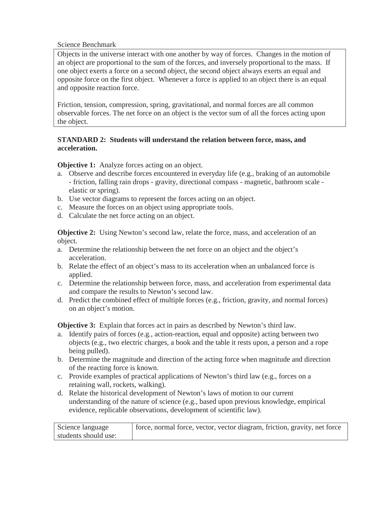Objects in the universe interact with one another by way of forces. Changes in the motion of an object are proportional to the sum of the forces, and inversely proportional to the mass. If one object exerts a force on a second object, the second object always exerts an equal and opposite force on the first object. Whenever a force is applied to an object there is an equal and opposite reaction force.

Friction, tension, compression, spring, gravitational, and normal forces are all common observable forces. The net force on an object is the vector sum of all the forces acting upon the object.

#### **STANDARD 2: Students will understand the relation between force, mass, and acceleration.**

**Objective 1:** Analyze forces acting on an object.

- a. Observe and describe forces encountered in everyday life (e.g., braking of an automobile - friction, falling rain drops - gravity, directional compass - magnetic, bathroom scale elastic or spring).
- b. Use vector diagrams to represent the forces acting on an object.
- c. Measure the forces on an object using appropriate tools.
- d. Calculate the net force acting on an object.

**Objective 2:** Using Newton's second law, relate the force, mass, and acceleration of an object.

- a. Determine the relationship between the net force on an object and the object's acceleration.
- b. Relate the effect of an object's mass to its acceleration when an unbalanced force is applied.
- c. Determine the relationship between force, mass, and acceleration from experimental data and compare the results to Newton's second law.
- d. Predict the combined effect of multiple forces (e.g., friction, gravity, and normal forces) on an object's motion.

**Objective 3:** Explain that forces act in pairs as described by Newton's third law.

- a. Identify pairs of forces (e.g., action-reaction, equal and opposite) acting between two objects (e.g., two electric charges, a book and the table it rests upon, a person and a rope being pulled).
- b. Determine the magnitude and direction of the acting force when magnitude and direction of the reacting force is known.
- c. Provide examples of practical applications of Newton's third law (e.g., forces on a retaining wall, rockets, walking).
- d. Relate the historical development of Newton's laws of motion to our current understanding of the nature of science (e.g., based upon previous knowledge, empirical evidence, replicable observations, development of scientific law).

| Science language     | force, normal force, vector, vector diagram, friction, gravity, net force |
|----------------------|---------------------------------------------------------------------------|
| students should use: |                                                                           |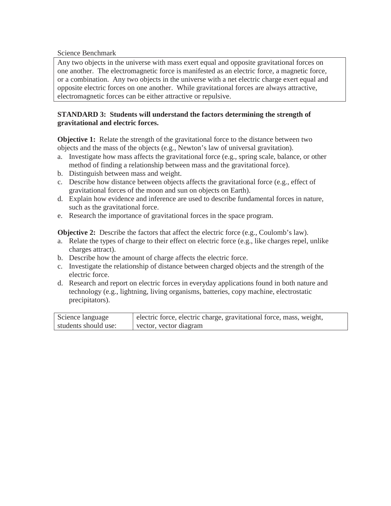Any two objects in the universe with mass exert equal and opposite gravitational forces on one another. The electromagnetic force is manifested as an electric force, a magnetic force, or a combination. Any two objects in the universe with a net electric charge exert equal and opposite electric forces on one another. While gravitational forces are always attractive, electromagnetic forces can be either attractive or repulsive.

#### **STANDARD 3: Students will understand the factors determining the strength of gravitational and electric forces.**

**Objective 1:** Relate the strength of the gravitational force to the distance between two objects and the mass of the objects (e.g., Newton's law of universal gravitation).

- a. Investigate how mass affects the gravitational force (e.g., spring scale, balance, or other method of finding a relationship between mass and the gravitational force).
- b. Distinguish between mass and weight.
- c. Describe how distance between objects affects the gravitational force (e.g., effect of gravitational forces of the moon and sun on objects on Earth).
- d. Explain how evidence and inference are used to describe fundamental forces in nature, such as the gravitational force.
- e. Research the importance of gravitational forces in the space program.

**Objective 2:** Describe the factors that affect the electric force (e.g., Coulomb's law).

- a. Relate the types of charge to their effect on electric force (e.g., like charges repel, unlike charges attract).
- b. Describe how the amount of charge affects the electric force.
- c. Investigate the relationship of distance between charged objects and the strength of the electric force.
- d. Research and report on electric forces in everyday applications found in both nature and technology (e.g., lightning, living organisms, batteries, copy machine, electrostatic precipitators).

| Science language     | electric force, electric charge, gravitational force, mass, weight, |
|----------------------|---------------------------------------------------------------------|
| students should use: | vector, vector diagram                                              |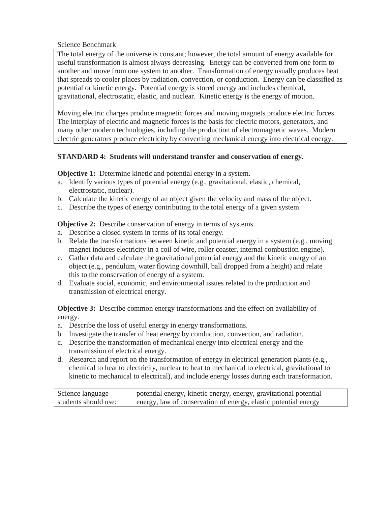The total energy of the universe is constant; however, the total amount of energy available for useful transformation is almost always decreasing. Energy can be converted from one form to another and move from one system to another. Transformation of energy usually produces heat that spreads to cooler places by radiation, convection, or conduction. Energy can be classified as potential or kinetic energy. Potential energy is stored energy and includes chemical, gravitational, electrostatic, elastic, and nuclear. Kinetic energy is the energy of motion.

Moving electric charges produce magnetic forces and moving magnets produce electric forces. The interplay of electric and magnetic forces is the basis for electric motors, generators, and many other modern technologies, including the production of electromagnetic waves. Modern electric generators produce electricity by converting mechanical energy into electrical energy.

#### **STANDARD 4: Students will understand transfer and conservation of energy.**

**Objective 1:** Determine kinetic and potential energy in a system.

- a. Identify various types of potential energy (e.g., gravitational, elastic, chemical, electrostatic, nuclear).
- b. Calculate the kinetic energy of an object given the velocity and mass of the object.
- c. Describe the types of energy contributing to the total energy of a given system.

**Objective 2:** Describe conservation of energy in terms of systems.

- a. Describe a closed system in terms of its total energy.
- b. Relate the transformations between kinetic and potential energy in a system (e.g., moving magnet induces electricity in a coil of wire, roller coaster, internal combustion engine).
- c. Gather data and calculate the gravitational potential energy and the kinetic energy of an object (e.g., pendulum, water flowing downhill, ball dropped from a height) and relate this to the conservation of energy of a system.
- d. Evaluate social, economic, and environmental issues related to the production and transmission of electrical energy.

**Objective 3:** Describe common energy transformations and the effect on availability of energy.

- a. Describe the loss of useful energy in energy transformations.
- b. Investigate the transfer of heat energy by conduction, convection, and radiation.
- c. Describe the transformation of mechanical energy into electrical energy and the transmission of electrical energy.
- d. Research and report on the transformation of energy in electrical generation plants (e.g., chemical to heat to electricity, nuclear to heat to mechanical to electrical, gravitational to kinetic to mechanical to electrical), and include energy losses during each transformation.

| Science language     | potential energy, kinetic energy, energy, gravitational potential |
|----------------------|-------------------------------------------------------------------|
| students should use: | energy, law of conservation of energy, elastic potential energy   |